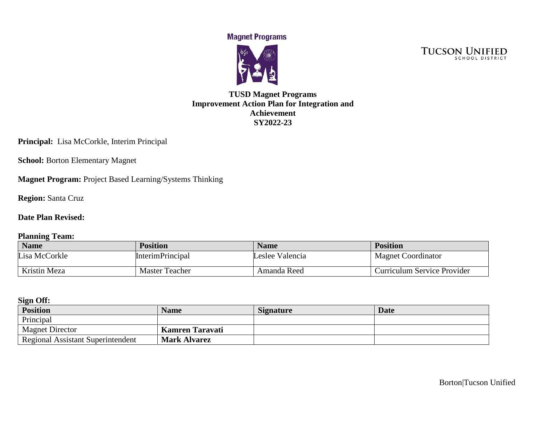**Magnet Programs** 



TUCSON UNIFIED

### **TUSD Magnet Programs Improvement Action Plan for Integration and Achievement SY2022-23**

**Principal:** Lisa McCorkle, Interim Principal

**School: Borton Elementary Magnet** 

**Magnet Program:** Project Based Learning/Systems Thinking

**Region:** Santa Cruz

#### **Date Plan Revised:**

#### **Planning Team:**

| <b>Name</b>   | <b>Position</b>         | <b>Name</b>     | <b>Position</b>             |
|---------------|-------------------------|-----------------|-----------------------------|
| Lisa McCorkle | <b>InterimPrincipal</b> | Leslee Valencia | <b>Magnet Coordinator</b>   |
| Kristin Meza  | <b>Master Teacher</b>   | Amanda Reed     | Curriculum Service Provider |

#### **Sign Off:**

| <b>Position</b>                          | <b>Name</b>            | <b>Signature</b> | Date |
|------------------------------------------|------------------------|------------------|------|
| Principal                                |                        |                  |      |
| <b>Magnet Director</b>                   | <b>Kamren Taravati</b> |                  |      |
| <b>Regional Assistant Superintendent</b> | <b>Mark Alvarez</b>    |                  |      |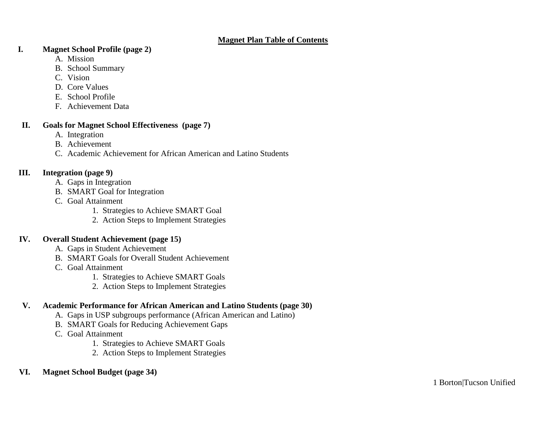#### **Magnet Plan Table of Contents**

#### **I. Magnet School Profile (page 2)**

- A. Mission
- B. School Summary
- C. Vision
- D. Core Values
- E. School Profile
- F. Achievement Data

#### **II. Goals for Magnet School Effectiveness (page 7)**

- A. Integration
- B. Achievement
- C. Academic Achievement for African American and Latino Students

#### **III. Integration (page 9)**

- A. Gaps in Integration
- B. SMART Goal for Integration
- C. Goal Attainment
	- 1. Strategies to Achieve SMART Goal
	- 2. Action Steps to Implement Strategies

#### **IV. Overall Student Achievement (page 15)**

- A. Gaps in Student Achievement
- B. SMART Goals for Overall Student Achievement
- C. Goal Attainment
	- 1. Strategies to Achieve SMART Goals
	- 2. Action Steps to Implement Strategies

## **V. Academic Performance for African American and Latino Students (page 30)**

- A. Gaps in USP subgroups performance (African American and Latino)
- B. SMART Goals for Reducing Achievement Gaps
- C. Goal Attainment
	- 1. Strategies to Achieve SMART Goals
	- 2. Action Steps to Implement Strategies

## **VI. Magnet School Budget (page 34)**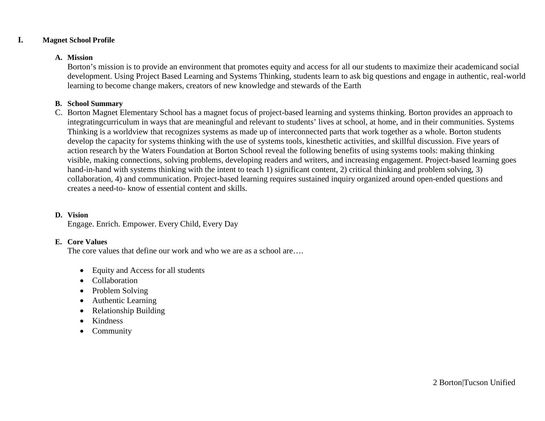#### **I. Magnet School Profile**

#### **A. Mission**

Borton's mission is to provide an environment that promotes equity and access for all our students to maximize their academicand social development. Using Project Based Learning and Systems Thinking, students learn to ask big questions and engage in authentic, real-world learning to become change makers, creators of new knowledge and stewards of the Earth

#### **B. School Summary**

C. Borton Magnet Elementary School has a magnet focus of project-based learning and systems thinking. Borton provides an approach to integratingcurriculum in ways that are meaningful and relevant to students' lives at school, at home, and in their communities. Systems Thinking is a worldview that recognizes systems as made up of interconnected parts that work together as a whole. Borton students develop the capacity for systems thinking with the use of systems tools, kinesthetic activities, and skillful discussion. Five years of action research by the Waters Foundation at Borton School reveal the following benefits of using systems tools: making thinking visible, making connections, solving problems, developing readers and writers, and increasing engagement. Project-based learning goes hand-in-hand with systems thinking with the intent to teach 1) significant content, 2) critical thinking and problem solving, 3) collaboration, 4) and communication. Project-based learning requires sustained inquiry organized around open-ended questions and creates a need-to- know of essential content and skills.

#### **D. Vision**

Engage. Enrich. Empower. Every Child, Every Day

#### **E. Core Values**

The core values that define our work and who we are as a school are....

- Equity and Access for all students
- Collaboration
- Problem Solving
- Authentic Learning
- Relationship Building
- Kindness
- Community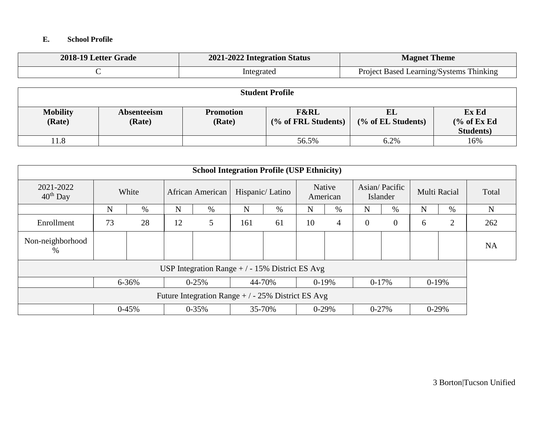#### **E. School Profile**

| 2018-19 Letter Grade | 2021-2022 Integration Status | <b>Magnet Theme</b>                     |
|----------------------|------------------------------|-----------------------------------------|
|                      | Integrated                   | Project Based Learning/Systems Thinking |

|                           |                       |                            | <b>Student Profile</b>                 |                          |                                                      |
|---------------------------|-----------------------|----------------------------|----------------------------------------|--------------------------|------------------------------------------------------|
| <b>Mobility</b><br>(Rate) | Absenteeism<br>(Rate) | <b>Promotion</b><br>(Rate) | <b>F&amp;RL</b><br>(% of FRL Students) | EL<br>(% of EL Students) | Ex Ed<br>$\frac{6}{6}$ of Ex Ed<br><b>Students</b> ) |
| 11.8                      |                       |                            | 56.5%                                  | 6.2%                     | 16%                                                  |

|                          |             |         |    | <b>School Integration Profile (USP Ethnicity)</b>  |     |                 |    |                    |           |                           |   |              |           |
|--------------------------|-------------|---------|----|----------------------------------------------------|-----|-----------------|----|--------------------|-----------|---------------------------|---|--------------|-----------|
| 2021-2022<br>$40th$ Day  |             | White   |    | African American                                   |     | Hispanic/Latino |    | Native<br>American |           | Asian/Pacific<br>Islander |   | Multi Racial | Total     |
|                          | $\mathbf N$ | $\%$    | N  | $\%$                                               | N   | $\%$            | N  | $\%$               | N         | $\%$                      | N | $\%$         | N         |
| Enrollment               | 73          | 28      | 12 | 5                                                  | 161 | 61              | 10 | $\overline{4}$     | $\theta$  | $\mathbf{0}$              | 6 | 2            | 262       |
| Non-neighborhood<br>$\%$ |             |         |    |                                                    |     |                 |    |                    |           |                           |   |              | <b>NA</b> |
|                          |             |         |    | USP Integration Range $+/-15\%$ District ES Avg    |     |                 |    |                    |           |                           |   |              |           |
|                          |             | 6-36%   |    | $0 - 25%$                                          |     | 44-70%          |    | $0-19%$            |           | $0-17%$                   |   | $0-19%$      |           |
|                          |             |         |    | Future Integration Range $+/-25\%$ District ES Avg |     |                 |    |                    |           |                           |   |              |           |
|                          |             | $0-45%$ |    | $0 - 35%$                                          |     | 35-70%          |    | $0-29%$            | $0 - 27%$ |                           |   | $0-29%$      |           |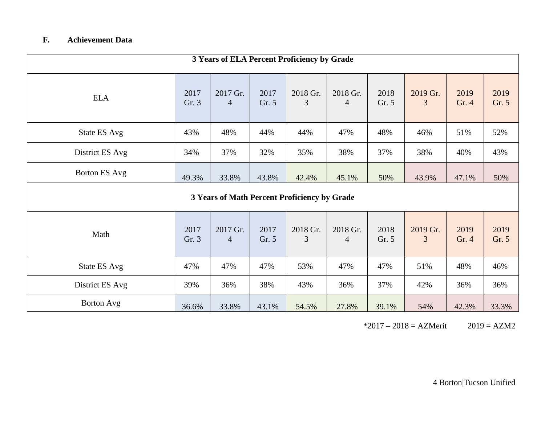## **F. Achievement Data**

|                 |               |                            |               | 3 Years of ELA Percent Proficiency by Grade  |                            |               |               |               |               |
|-----------------|---------------|----------------------------|---------------|----------------------------------------------|----------------------------|---------------|---------------|---------------|---------------|
| <b>ELA</b>      | 2017<br>Gr. 3 | 2017 Gr.<br>$\overline{4}$ | 2017<br>Gr. 5 | 2018 Gr.<br>3                                | 2018 Gr.<br>$\overline{4}$ | 2018<br>Gr. 5 | 2019 Gr.<br>3 | 2019<br>Gr. 4 | 2019<br>Gr. 5 |
| State ES Avg    | 43%           | 48%                        | 44%           | 44%                                          | 47%                        | 48%           | 46%           | 51%           | 52%           |
| District ES Avg | 34%           | 37%                        | 32%           | 35%                                          | 38%                        | 37%           | 38%           | 40%           | 43%           |
| Borton ES Avg   | 49.3%         | 33.8%                      | 43.8%         | 42.4%                                        | 45.1%                      | 50%           | 43.9%         | 47.1%         | 50%           |
|                 |               |                            |               | 3 Years of Math Percent Proficiency by Grade |                            |               |               |               |               |
| Math            | 2017<br>Gr. 3 | 2017 Gr.<br>$\overline{4}$ | 2017<br>Gr. 5 | 2018 Gr.<br>3                                | 2018 Gr.<br>$\overline{4}$ | 2018<br>Gr. 5 | 2019 Gr.<br>3 | 2019<br>Gr. 4 | 2019<br>Gr. 5 |
| State ES Avg    | 47%           | 47%                        | 47%           | 53%                                          | 47%                        | 47%           | 51%           | 48%           | 46%           |
| District ES Avg | 39%           | 36%                        | 38%           | 43%                                          | 36%                        | 37%           | 42%           | 36%           | 36%           |
| Borton Avg      | 36.6%         | 33.8%                      | 43.1%         | 54.5%                                        | 27.8%                      | 39.1%         | 54%           | 42.3%         | 33.3%         |

 $*2017 - 2018 = AZMerit$  2019 = AZM2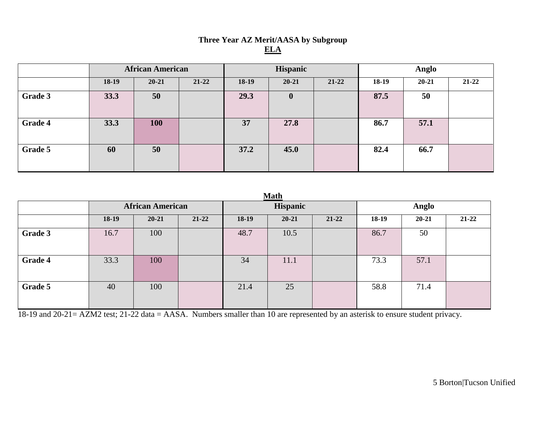# **Three Year AZ Merit/AASA by Subgroup ELA**

|                |       | <b>African American</b> |           |         | Hispanic    |           |         | Anglo     |           |
|----------------|-------|-------------------------|-----------|---------|-------------|-----------|---------|-----------|-----------|
|                | 18-19 | $20 - 21$               | $21 - 22$ | $18-19$ | $20 - 21$   | $21 - 22$ | $18-19$ | $20 - 21$ | $21 - 22$ |
| Grade 3        | 33.3  | 50                      |           | 29.3    | $\mathbf 0$ |           | 87.5    | 50        |           |
| <b>Grade 4</b> | 33.3  | 100                     |           | 37      | 27.8        |           | 86.7    | 57.1      |           |
| Grade 5        | 60    | 50                      |           | 37.2    | 45.0        |           | 82.4    | 66.7      |           |

| v |
|---|
|---|

|                |                         |           |           |          | ********  |           |              |           |           |
|----------------|-------------------------|-----------|-----------|----------|-----------|-----------|--------------|-----------|-----------|
|                | <b>African American</b> |           |           | Hispanic |           |           | <b>Anglo</b> |           |           |
|                | 18-19                   | $20 - 21$ | $21 - 22$ | 18-19    | $20 - 21$ | $21 - 22$ | 18-19        | $20 - 21$ | $21 - 22$ |
| Grade 3        | 16.7                    | 100       |           | 48.7     | 10.5      |           | 86.7         | 50        |           |
| <b>Grade 4</b> | 33.3                    | 100       |           | 34       | 11.1      |           | 73.3         | 57.1      |           |
| Grade 5        | 40                      | 100       |           | 21.4     | 25        |           | 58.8         | 71.4      |           |

18-19 and 20-21= AZM2 test; 21-22 data = AASA. Numbers smaller than 10 are represented by an asterisk to ensure student privacy.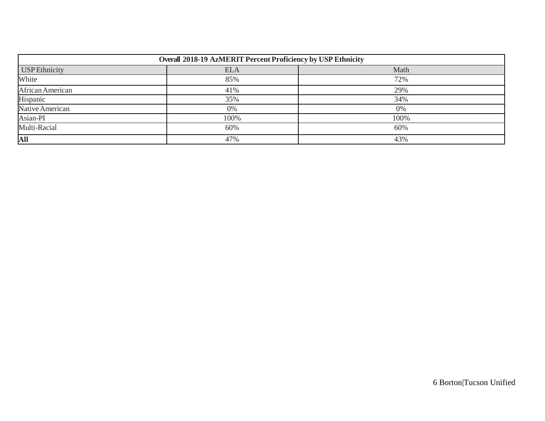|                      | Overall 2018-19 AzMERIT Percent Proficiency by USP Ethnicity |      |
|----------------------|--------------------------------------------------------------|------|
| <b>USP</b> Ethnicity | <b>ELA</b>                                                   | Math |
| White                | 85%                                                          | 72%  |
| African American     | 41%                                                          | 29%  |
| Hispanic             | 35%                                                          | 34%  |
| Native American      | 0%                                                           | 0%   |
| Asian-PI             | 100%                                                         | 100% |
| Multi-Racial         | 60%                                                          | 60%  |
| All                  | 47%                                                          | 43%  |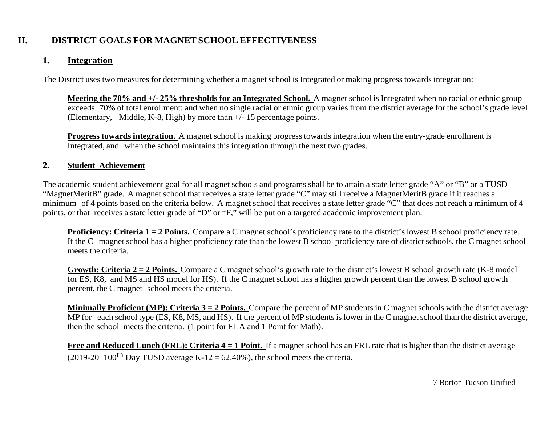# **II. DISTRICT GOALS FOR MAGNET SCHOOL EFFECTIVENESS**

## **1. Integration**

The District uses two measures for determining whether a magnet school is Integrated or making progress towards integration:

**Meeting the 70% and +/- 25% thresholds for an Integrated School.** A magnet school is Integrated when no racial or ethnic group exceeds 70% of total enrollment; and when no single racial or ethnic group varies from the district average for the school's grade level (Elementary, Middle, K-8, High) by more than +/- 15 percentage points.

**Progress towards integration.** A magnet school is making progress towards integration when the entry-grade enrollment is Integrated, and when the school maintains this integration through the next two grades.

### **2. Student Achievement**

The academic student achievement goal for all magnet schools and programs shall be to attain a state letter grade "A" or "B" or a TUSD "MagnetMeritB" grade. A magnet school that receives a state letter grade "C" may still receive a MagnetMeritB grade if it reaches a minimum of 4 points based on the criteria below. A magnet school that receives a state letter grade "C" that does not reach a minimum of 4 points, or that receives a state letter grade of "D" or "F," will be put on a targeted academic improvement plan.

**Proficiency: Criteria 1 = 2 Points.** Compare a C magnet school's proficiency rate to the district's lowest B school proficiency rate. If the C magnet school has a higher proficiency rate than the lowest B school proficiency rate of district schools, the C magnet school meets the criteria.

**Growth: Criteria 2 = 2 Points.** Compare a C magnet school's growth rate to the district's lowest B school growth rate (K-8 model for ES, K8, and MS and HS model for HS). If the C magnet school has a higher growth percent than the lowest B school growth percent, the C magnet school meets the criteria.

**Minimally Proficient (MP): Criteria 3 = 2 Points.** Compare the percent of MP students in C magnet schools with the district average MP for each school type  $(ES, K8, MS, and HS)$ . If the percent of MP students is lower in the C magnet school than the district average, then the school meets the criteria. (1 point for ELA and 1 Point for Math).

**Free and Reduced Lunch (FRL): Criteria 4 = 1 Point.** If a magnet school has an FRL rate that is higher than the district average (2019-20 100<sup>th</sup> Day TUSD average K-12 = 62.40%), the school meets the criteria.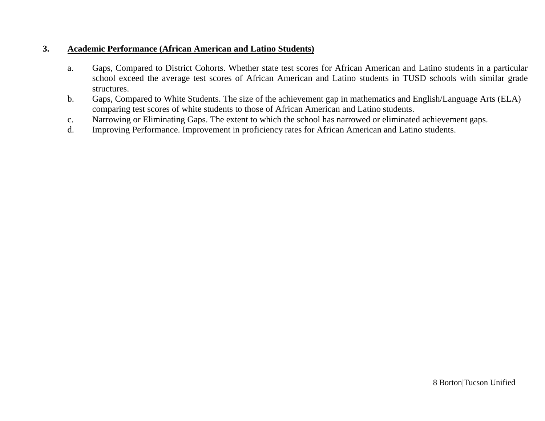## **3. Academic Performance (African American and Latino Students)**

- a. Gaps, Compared to District Cohorts. Whether state test scores for African American and Latino students in a particular school exceed the average test scores of African American and Latino students in TUSD schools with similar grade structures.
- b. Gaps, Compared to White Students. The size of the achievement gap in mathematics and English/Language Arts (ELA) comparing test scores of white students to those of African American and Latino students.
- c. Narrowing or Eliminating Gaps. The extent to which the school has narrowed or eliminated achievement gaps.
- d. Improving Performance. Improvement in proficiency rates for African American and Latino students.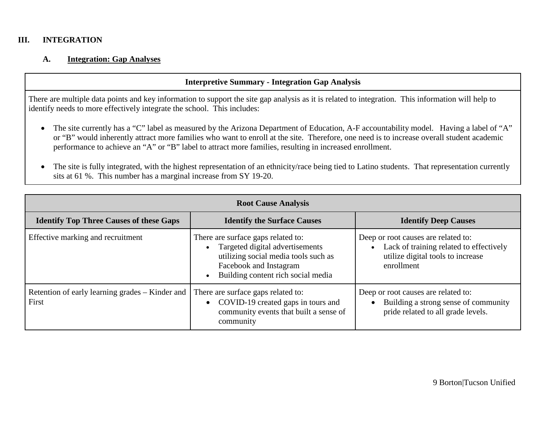#### **III. INTEGRATION**

#### **A. Integration: Gap Analyses**

#### **Interpretive Summary - Integration Gap Analysis**

There are multiple data points and key information to support the site gap analysis as it is related to integration. This information will help to identify needs to more effectively integrate the school. This includes:

- The site currently has a "C" label as measured by the Arizona Department of Education, A-F accountability model. Having a label of "A" or "B" would inherently attract more families who want to enroll at the site. Therefore, one need is to increase overall student academic performance to achieve an "A" or "B" label to attract more families, resulting in increased enrollment.
- The site is fully integrated, with the highest representation of an ethnicity/race being tied to Latino students. That representation currently sits at 61 %. This number has a marginal increase from SY 19-20.

|                                                          | <b>Root Cause Analysis</b>                                                                                                                                                                 |                                                                                                                                   |
|----------------------------------------------------------|--------------------------------------------------------------------------------------------------------------------------------------------------------------------------------------------|-----------------------------------------------------------------------------------------------------------------------------------|
| <b>Identify Top Three Causes of these Gaps</b>           | <b>Identify the Surface Causes</b>                                                                                                                                                         | <b>Identify Deep Causes</b>                                                                                                       |
| Effective marking and recruitment                        | There are surface gaps related to:<br>Targeted digital advertisements<br>utilizing social media tools such as<br>Facebook and Instagram<br>Building content rich social media<br>$\bullet$ | Deep or root causes are related to:<br>Lack of training related to effectively<br>utilize digital tools to increase<br>enrollment |
| Retention of early learning grades – Kinder and<br>First | There are surface gaps related to:<br>• COVID-19 created gaps in tours and<br>community events that built a sense of<br>community                                                          | Deep or root causes are related to:<br>Building a strong sense of community<br>pride related to all grade levels.                 |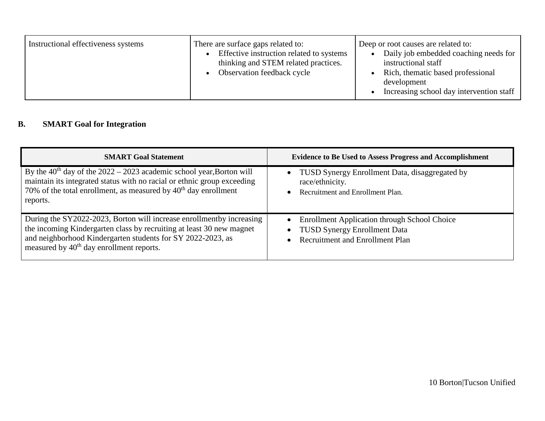| Instructional effectiveness systems<br>There are surface gaps related to:<br>Effective instruction related to systems<br>thinking and STEM related practices.<br>Observation feedback cycle |
|---------------------------------------------------------------------------------------------------------------------------------------------------------------------------------------------|
|---------------------------------------------------------------------------------------------------------------------------------------------------------------------------------------------|

# **B. SMART Goal for Integration**

| <b>SMART Goal Statement</b>                                                                                                                                                                                                                                         | <b>Evidence to Be Used to Assess Progress and Accomplishment</b>                                                                                                            |
|---------------------------------------------------------------------------------------------------------------------------------------------------------------------------------------------------------------------------------------------------------------------|-----------------------------------------------------------------------------------------------------------------------------------------------------------------------------|
| By the $40th$ day of the $2022 - 2023$ academic school year, Borton will<br>maintain its integrated status with no racial or ethnic group exceeding<br>70% of the total enrollment, as measured by $40th$ day enrollment<br>reports.                                | TUSD Synergy Enrollment Data, disaggregated by<br>$\bullet$<br>race/ethnicity.<br>Recruitment and Enrollment Plan.<br>$\bullet$                                             |
| During the SY2022-2023, Borton will increase enrollmentby increasing<br>the incoming Kindergarten class by recruiting at least 30 new magnet<br>and neighborhood Kindergarten students for SY 2022-2023, as<br>measured by 40 <sup>th</sup> day enrollment reports. | <b>Enrollment Application through School Choice</b><br>$\bullet$<br><b>TUSD Synergy Enrollment Data</b><br>$\bullet$<br><b>Recruitment and Enrollment Plan</b><br>$\bullet$ |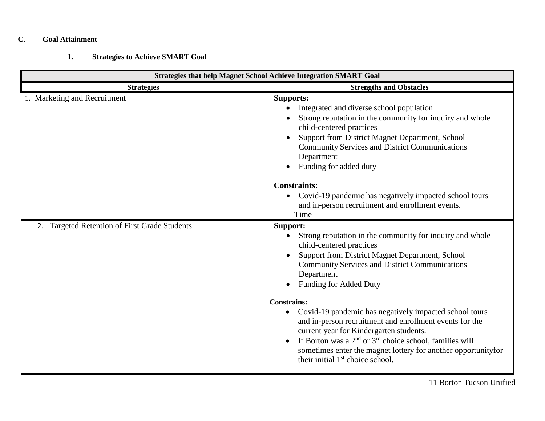#### **C. Goal Attainment**

## **1. Strategies to Achieve SMART Goal**

| <b>Strategies that help Magnet School Achieve Integration SMART Goal</b> |                                                                                                                                                                                                                                                                                                                                                                                                                                                                                                                                                                                                                                         |  |
|--------------------------------------------------------------------------|-----------------------------------------------------------------------------------------------------------------------------------------------------------------------------------------------------------------------------------------------------------------------------------------------------------------------------------------------------------------------------------------------------------------------------------------------------------------------------------------------------------------------------------------------------------------------------------------------------------------------------------------|--|
| <b>Strategies</b>                                                        | <b>Strengths and Obstacles</b>                                                                                                                                                                                                                                                                                                                                                                                                                                                                                                                                                                                                          |  |
| 1. Marketing and Recruitment                                             | <b>Supports:</b><br>Integrated and diverse school population<br>$\bullet$<br>Strong reputation in the community for inquiry and whole<br>child-centered practices<br>Support from District Magnet Department, School<br><b>Community Services and District Communications</b><br>Department<br>Funding for added duty                                                                                                                                                                                                                                                                                                                   |  |
|                                                                          | <b>Constraints:</b><br>Covid-19 pandemic has negatively impacted school tours<br>$\bullet$<br>and in-person recruitment and enrollment events.<br>Time                                                                                                                                                                                                                                                                                                                                                                                                                                                                                  |  |
| 2. Targeted Retention of First Grade Students                            | Support:<br>Strong reputation in the community for inquiry and whole<br>child-centered practices<br>Support from District Magnet Department, School<br><b>Community Services and District Communications</b><br>Department<br>Funding for Added Duty<br><b>Constrains:</b><br>Covid-19 pandemic has negatively impacted school tours<br>$\bullet$<br>and in-person recruitment and enrollment events for the<br>current year for Kindergarten students.<br>If Borton was a $2nd$ or $3rd$ choice school, families will<br>sometimes enter the magnet lottery for another opportunityfor<br>their initial 1 <sup>st</sup> choice school. |  |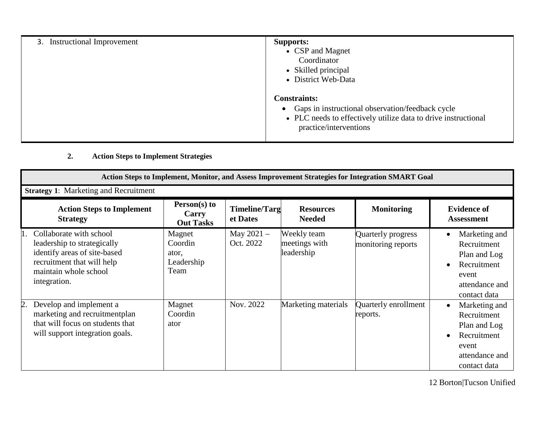| 3. Instructional Improvement | <b>Supports:</b><br>• CSP and Magnet<br>Coordinator<br>• Skilled principal<br>• District Web-Data                                                                                |
|------------------------------|----------------------------------------------------------------------------------------------------------------------------------------------------------------------------------|
|                              | <b>Constraints:</b><br>Gaps in instructional observation/feedback cycle<br>$\bullet$<br>• PLC needs to effectively utilize data to drive instructional<br>practice/interventions |

# **2. Action Steps to Implement Strategies**

|    | Action Steps to Implement, Monitor, and Assess Improvement Strategies for Integration SMART Goal                                                              |                                                  |                                  |                                            |                                          |                                                                                                                                  |
|----|---------------------------------------------------------------------------------------------------------------------------------------------------------------|--------------------------------------------------|----------------------------------|--------------------------------------------|------------------------------------------|----------------------------------------------------------------------------------------------------------------------------------|
|    | <b>Strategy 1:</b> Marketing and Recruitment                                                                                                                  |                                                  |                                  |                                            |                                          |                                                                                                                                  |
|    | <b>Action Steps to Implement</b><br><b>Strategy</b>                                                                                                           | Person(s) to<br>Carry<br><b>Out Tasks</b>        | <b>Timeline/Targ</b><br>et Dates | <b>Resources</b><br><b>Needed</b>          | <b>Monitoring</b>                        | <b>Evidence of</b><br><b>Assessment</b>                                                                                          |
|    | Collaborate with school<br>leadership to strategically<br>identify areas of site-based<br>recruitment that will help<br>maintain whole school<br>integration. | Magnet<br>Coordin<br>ator,<br>Leadership<br>Team | May $2021 -$<br>Oct. 2022        | Weekly team<br>meetings with<br>leadership | Quarterly progress<br>monitoring reports | Marketing and<br>$\bullet$<br>Recruitment<br>Plan and Log<br>Recruitment<br>$\bullet$<br>event<br>attendance and<br>contact data |
| 2. | Develop and implement a<br>marketing and recruitmentplan<br>that will focus on students that<br>will support integration goals.                               | Magnet<br>Coordin<br>ator                        | Nov. 2022                        | Marketing materials                        | Quarterly enrollment<br>reports.         | Marketing and<br>$\bullet$<br>Recruitment<br>Plan and Log<br>Recruitment<br>$\bullet$<br>event<br>attendance and<br>contact data |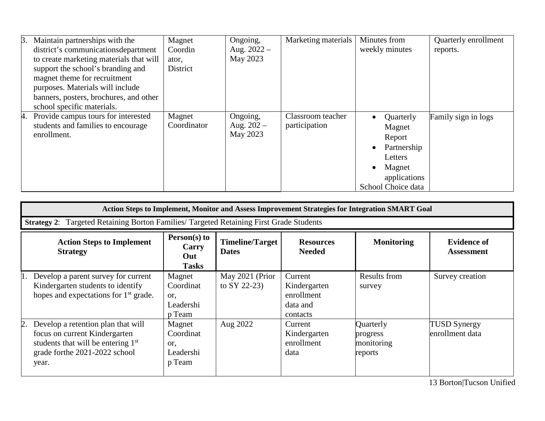| B. | Maintain partnerships with the          | Magnet      | Ongoing,      | Marketing materials | Minutes from             | Quarterly enrollment |
|----|-----------------------------------------|-------------|---------------|---------------------|--------------------------|----------------------|
|    | district's communications department    | Coordin     | Aug. $2022 -$ |                     | weekly minutes           | reports.             |
|    | to create marketing materials that will | ator,       | May 2023      |                     |                          |                      |
|    | support the school's branding and       | District    |               |                     |                          |                      |
|    | magnet theme for recruitment            |             |               |                     |                          |                      |
|    | purposes. Materials will include        |             |               |                     |                          |                      |
|    | banners, posters, brochures, and other  |             |               |                     |                          |                      |
|    | school specific materials.              |             |               |                     |                          |                      |
| 4. | Provide campus tours for interested     | Magnet      | Ongoing,      | Classroom teacher   | Quarterly<br>$\bullet$   | Family sign in logs  |
|    | students and families to encourage      | Coordinator | Aug. $202 -$  | participation       | Magnet                   |                      |
|    | enrollment.                             |             | May 2023      |                     | Report                   |                      |
|    |                                         |             |               |                     | Partnership<br>$\bullet$ |                      |
|    |                                         |             |               |                     | Letters                  |                      |
|    |                                         |             |               |                     | Magnet<br>$\bullet$      |                      |
|    |                                         |             |               |                     | applications             |                      |
|    |                                         |             |               |                     | School Choice data       |                      |

| Action Steps to Implement, Monitor and Assess Improvement Strategies for Integration SMART Goal                                                                                   |                                                   |                                        |                                                               |                                                |                                         |
|-----------------------------------------------------------------------------------------------------------------------------------------------------------------------------------|---------------------------------------------------|----------------------------------------|---------------------------------------------------------------|------------------------------------------------|-----------------------------------------|
| Targeted Retaining Borton Families/ Targeted Retaining First Grade Students<br><b>Strategy 2:</b>                                                                                 |                                                   |                                        |                                                               |                                                |                                         |
| <b>Action Steps to Implement</b><br><b>Strategy</b>                                                                                                                               | Person(s) to<br>Carry<br>Out<br><b>Tasks</b>      | <b>Timeline/Target</b><br><b>Dates</b> | <b>Resources</b><br><b>Needed</b>                             | <b>Monitoring</b>                              | <b>Evidence of</b><br><b>Assessment</b> |
| Develop a parent survey for current<br>Kindergarten students to identify<br>hopes and expectations for $1st$ grade.                                                               | Magnet<br>Coordinat<br>or.<br>Leadershi<br>p Team | May 2021 (Prior<br>to $SY$ 22-23)      | Current<br>Kindergarten<br>enrollment<br>data and<br>contacts | <b>Results from</b><br>survey                  | Survey creation                         |
| $\mathbf{2}$ .<br>Develop a retention plan that will<br>focus on current Kindergarten<br>students that will be entering 1 <sup>st</sup><br>grade forthe 2021-2022 school<br>year. | Magnet<br>Coordinat<br>or.<br>Leadershi<br>p Team | Aug 2022                               | Current<br>Kindergarten<br>enrollment<br>data                 | Quarterly<br>progress<br>monitoring<br>reports | <b>TUSD Synergy</b><br>enrollment data  |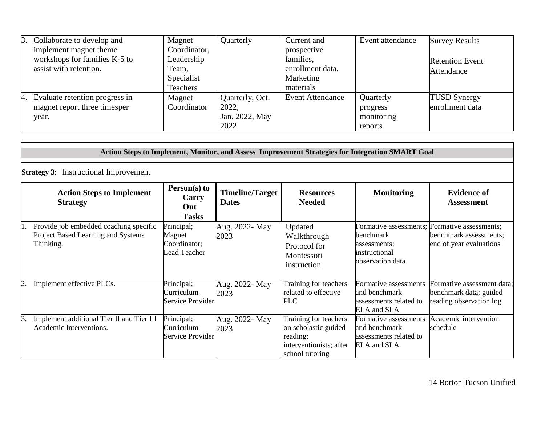| 3. Collaborate to develop and     | Magnet       | Quarterly       | Current and             | Event attendance | <b>Survey Results</b>  |
|-----------------------------------|--------------|-----------------|-------------------------|------------------|------------------------|
| implement magnet theme            | Coordinator, |                 | prospective             |                  |                        |
| workshops for families K-5 to     | Leadership   |                 | families,               |                  | <b>Retention Event</b> |
| assist with retention.            | Team,        |                 | enrollment data,        |                  | Attendance             |
|                                   | Specialist   |                 | Marketing               |                  |                        |
|                                   | Teachers     |                 | materials               |                  |                        |
| 4. Evaluate retention progress in | Magnet       | Quarterly, Oct. | <b>Event Attendance</b> | Quarterly        | <b>TUSD Synergy</b>    |
| magnet report three timesper      | Coordinator  | 2022.           |                         | progress         | enrollment data        |
| year.                             |              | Jan. 2022, May  |                         | monitoring       |                        |
|                                   |              | 2022            |                         | reports          |                        |

|    | Action Steps to Implement, Monitor, and Assess Improvement Strategies for Integration SMART Goal |                                                      |                                        |                                                                                                         |                                                                                          |                                                                                  |
|----|--------------------------------------------------------------------------------------------------|------------------------------------------------------|----------------------------------------|---------------------------------------------------------------------------------------------------------|------------------------------------------------------------------------------------------|----------------------------------------------------------------------------------|
|    | <b>Instructional Improvement</b><br><b>Strategy 3:</b>                                           |                                                      |                                        |                                                                                                         |                                                                                          |                                                                                  |
|    | <b>Action Steps to Implement</b><br><b>Strategy</b>                                              | Person(s) to<br>Carry<br>Out<br><b>Tasks</b>         | <b>Timeline/Target</b><br><b>Dates</b> | <b>Resources</b><br><b>Needed</b>                                                                       | <b>Monitoring</b>                                                                        | <b>Evidence of</b><br><b>Assessment</b>                                          |
|    | Provide job embedded coaching specific<br>Project Based Learning and Systems<br>Thinking.        | Principal;<br>Magnet<br>Coordinator;<br>Lead Teacher | Aug. 2022- May<br>2023                 | Updated<br>Walkthrough<br>Protocol for<br>Montessori<br>instruction                                     | Formative assessments;<br>benchmark<br>assessments:<br>instructional<br>observation data | Formative assessments;<br>benchmark assessments;<br>end of year evaluations      |
| 2. | Implement effective PLCs.                                                                        | Principal;<br>Curriculum<br>Service Provider         | Aug. 2022- May<br>2023                 | Training for teachers<br>related to effective<br><b>PLC</b>                                             | Formative assessments<br>and benchmark<br>assessments related to<br><b>ELA</b> and SLA   | Formative assessment data;<br>benchmark data; guided<br>reading observation log. |
| 3. | Implement additional Tier II and Tier III<br>Academic Interventions.                             | Principal;<br>Curriculum<br>Service Provider         | Aug. 2022- May<br>2023                 | Training for teachers<br>on scholastic guided<br>reading;<br>interventionists; after<br>school tutoring | Formative assessments<br>and benchmark<br>assessments related to<br><b>ELA</b> and SLA   | Academic intervention<br>schedule                                                |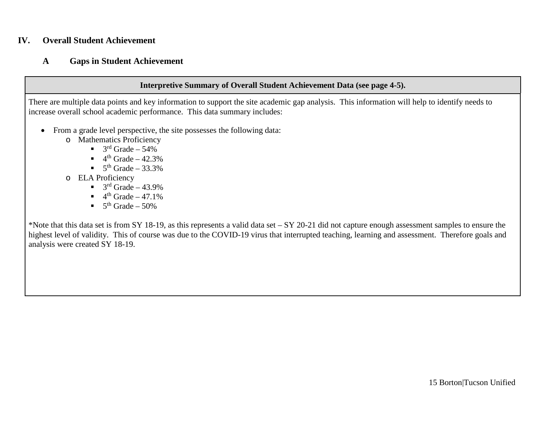## **IV. Overall Student Achievement**

#### **A Gaps in Student Achievement**

#### **Interpretive Summary of Overall Student Achievement Data (see page 4-5).**

There are multiple data points and key information to support the site academic gap analysis. This information will help to identify needs to increase overall school academic performance. This data summary includes:

- From a grade level perspective, the site possesses the following data:
	- o Mathematics Proficiency
		- $\blacksquare$  3<sup>rd</sup> Grade 54%
		- $\blacksquare$  4<sup>th</sup> Grade 42.3%
		- $\blacksquare$  5<sup>th</sup> Grade 33.3%
	- o ELA Proficiency
		- $\blacksquare$  3<sup>rd</sup> Grade 43.9%
		- $\blacksquare$  4<sup>th</sup> Grade 47.1%
		- $\blacksquare$  5<sup>th</sup> Grade 50%

\*Note that this data set is from SY 18-19, as this represents a valid data set – SY 20-21 did not capture enough assessment samples to ensure the highest level of validity. This of course was due to the COVID-19 virus that interrupted teaching, learning and assessment. Therefore goals and analysis were created SY 18-19.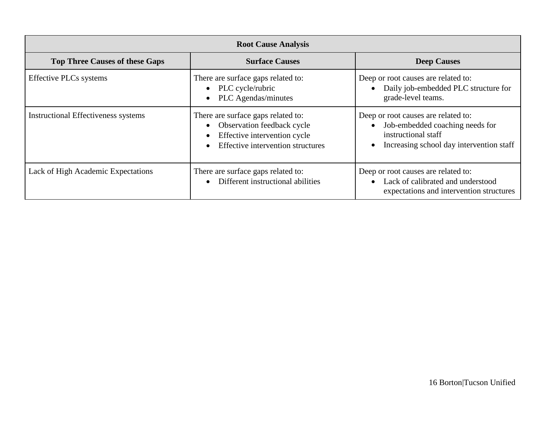| <b>Root Cause Analysis</b>                 |                                                                                                                                                                              |                                                                                                                                                                     |  |  |
|--------------------------------------------|------------------------------------------------------------------------------------------------------------------------------------------------------------------------------|---------------------------------------------------------------------------------------------------------------------------------------------------------------------|--|--|
| <b>Top Three Causes of these Gaps</b>      | <b>Surface Causes</b>                                                                                                                                                        | <b>Deep Causes</b>                                                                                                                                                  |  |  |
| <b>Effective PLCs systems</b>              | There are surface gaps related to:<br>• PLC cycle/rubric<br><b>PLC</b> Agendas/minutes<br>$\bullet$                                                                          | Deep or root causes are related to:<br>Daily job-embedded PLC structure for<br>$\bullet$<br>grade-level teams.                                                      |  |  |
| <b>Instructional Effectiveness systems</b> | There are surface gaps related to:<br>Observation feedback cycle<br>$\bullet$<br>Effective intervention cycle<br>$\bullet$<br>Effective intervention structures<br>$\bullet$ | Deep or root causes are related to:<br>Job-embedded coaching needs for<br>$\bullet$<br>instructional staff<br>Increasing school day intervention staff<br>$\bullet$ |  |  |
| Lack of High Academic Expectations         | There are surface gaps related to:<br>Different instructional abilities<br>$\bullet$                                                                                         | Deep or root causes are related to:<br>Lack of calibrated and understood<br>$\bullet$<br>expectations and intervention structures                                   |  |  |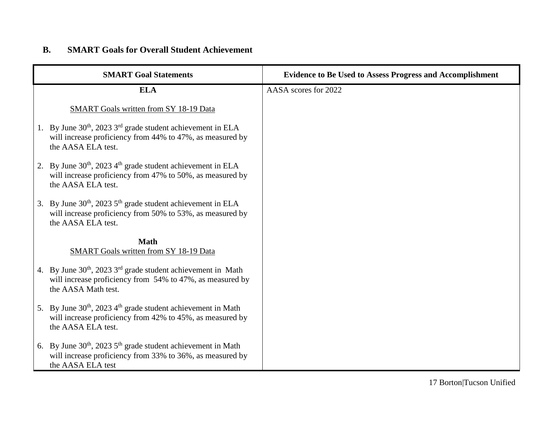# **B. SMART Goals for Overall Student Achievement**

| <b>SMART Goal Statements</b>                                                                                                                                            | <b>Evidence to Be Used to Assess Progress and Accomplishment</b> |
|-------------------------------------------------------------------------------------------------------------------------------------------------------------------------|------------------------------------------------------------------|
| <b>ELA</b>                                                                                                                                                              | AASA scores for 2022                                             |
| SMART Goals written from SY 18-19 Data                                                                                                                                  |                                                                  |
| 1. By June $30th$ , 2023 $3rd$ grade student achievement in ELA<br>will increase proficiency from 44% to 47%, as measured by<br>the AASA ELA test.                      |                                                                  |
| 2. By June $30th$ , 2023 $4th$ grade student achievement in ELA<br>will increase proficiency from 47% to 50%, as measured by<br>the AASA ELA test.                      |                                                                  |
| 3. By June $30th$ , 2023 $5th$ grade student achievement in ELA<br>will increase proficiency from 50% to 53%, as measured by<br>the AASA ELA test.                      |                                                                  |
| <b>Math</b><br>SMART Goals written from SY 18-19 Data                                                                                                                   |                                                                  |
| 4. By June $30^{th}$ , 2023 $3^{rd}$ grade student achievement in Math<br>will increase proficiency from 54% to 47%, as measured by<br>the AASA Math test.              |                                                                  |
| 5. By June 30 <sup>th</sup> , 2023 4 <sup>th</sup> grade student achievement in Math<br>will increase proficiency from 42% to 45%, as measured by<br>the AASA ELA test. |                                                                  |
| 6. By June $30th$ , 2023 $5th$ grade student achievement in Math<br>will increase proficiency from 33% to 36%, as measured by<br>the AASA ELA test                      |                                                                  |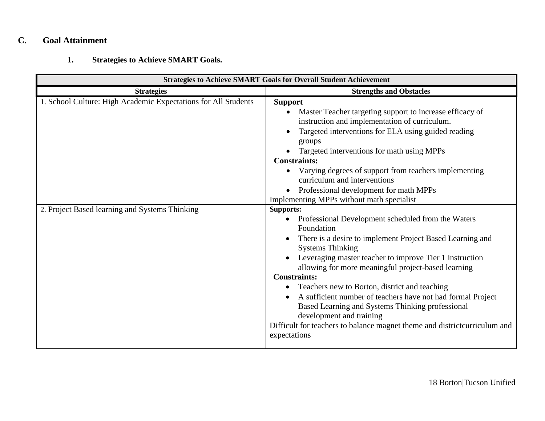## **C. Goal Attainment**

# **1. Strategies to Achieve SMART Goals.**

| <b>Strategies to Achieve SMART Goals for Overall Student Achievement</b>                                         |                                                                                                                                                                                                                                                                                                                                                                                                                                                                                                                                                                                                                                                                                                                                                                                                                                                                                                                                                                                                                                                                                       |  |
|------------------------------------------------------------------------------------------------------------------|---------------------------------------------------------------------------------------------------------------------------------------------------------------------------------------------------------------------------------------------------------------------------------------------------------------------------------------------------------------------------------------------------------------------------------------------------------------------------------------------------------------------------------------------------------------------------------------------------------------------------------------------------------------------------------------------------------------------------------------------------------------------------------------------------------------------------------------------------------------------------------------------------------------------------------------------------------------------------------------------------------------------------------------------------------------------------------------|--|
| <b>Strategies</b>                                                                                                | <b>Strengths and Obstacles</b>                                                                                                                                                                                                                                                                                                                                                                                                                                                                                                                                                                                                                                                                                                                                                                                                                                                                                                                                                                                                                                                        |  |
| 1. School Culture: High Academic Expectations for All Students<br>2. Project Based learning and Systems Thinking | <b>Support</b><br>Master Teacher targeting support to increase efficacy of<br>instruction and implementation of curriculum.<br>Targeted interventions for ELA using guided reading<br>groups<br>Targeted interventions for math using MPPs<br><b>Constraints:</b><br>Varying degrees of support from teachers implementing<br>curriculum and interventions<br>Professional development for math MPPs<br>Implementing MPPs without math specialist<br><b>Supports:</b><br>Professional Development scheduled from the Waters<br>$\bullet$<br>Foundation<br>There is a desire to implement Project Based Learning and<br><b>Systems Thinking</b><br>Leveraging master teacher to improve Tier 1 instruction<br>allowing for more meaningful project-based learning<br><b>Constraints:</b><br>Teachers new to Borton, district and teaching<br>A sufficient number of teachers have not had formal Project<br>Based Learning and Systems Thinking professional<br>development and training<br>Difficult for teachers to balance magnet theme and district curriculum and<br>expectations |  |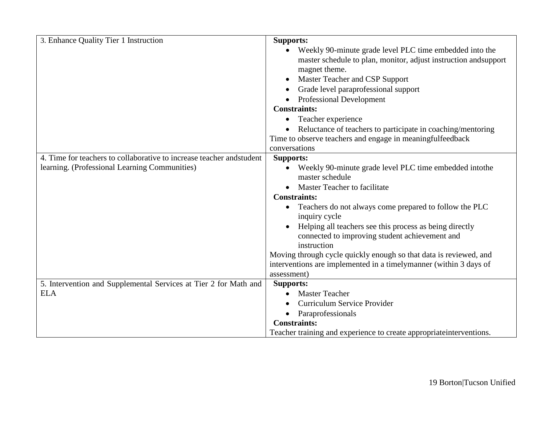| 3. Enhance Quality Tier 1 Instruction                                 | <b>Supports:</b>                                                     |
|-----------------------------------------------------------------------|----------------------------------------------------------------------|
|                                                                       | Weekly 90-minute grade level PLC time embedded into the              |
|                                                                       | master schedule to plan, monitor, adjust instruction and support     |
|                                                                       | magnet theme.                                                        |
|                                                                       | Master Teacher and CSP Support                                       |
|                                                                       | Grade level paraprofessional support                                 |
|                                                                       | • Professional Development                                           |
|                                                                       | <b>Constraints:</b>                                                  |
|                                                                       | Teacher experience                                                   |
|                                                                       | Reluctance of teachers to participate in coaching/mentoring          |
|                                                                       | Time to observe teachers and engage in meaningfulfeedback            |
|                                                                       | conversations                                                        |
| 4. Time for teachers to collaborative to increase teacher and student | <b>Supports:</b>                                                     |
| learning. (Professional Learning Communities)                         | Weekly 90-minute grade level PLC time embedded intothe               |
|                                                                       | master schedule                                                      |
|                                                                       | Master Teacher to facilitate                                         |
|                                                                       | <b>Constraints:</b>                                                  |
|                                                                       | Teachers do not always come prepared to follow the PLC               |
|                                                                       | inquiry cycle                                                        |
|                                                                       | Helping all teachers see this process as being directly              |
|                                                                       | connected to improving student achievement and                       |
|                                                                       | instruction                                                          |
|                                                                       | Moving through cycle quickly enough so that data is reviewed, and    |
|                                                                       | interventions are implemented in a timelymanner (within 3 days of    |
|                                                                       | assessment)                                                          |
| 5. Intervention and Supplemental Services at Tier 2 for Math and      | <b>Supports:</b>                                                     |
| <b>ELA</b>                                                            | <b>Master Teacher</b>                                                |
|                                                                       | Curriculum Service Provider                                          |
|                                                                       | Paraprofessionals<br>$\bullet$                                       |
|                                                                       | <b>Constraints:</b>                                                  |
|                                                                       | Teacher training and experience to create appropriate interventions. |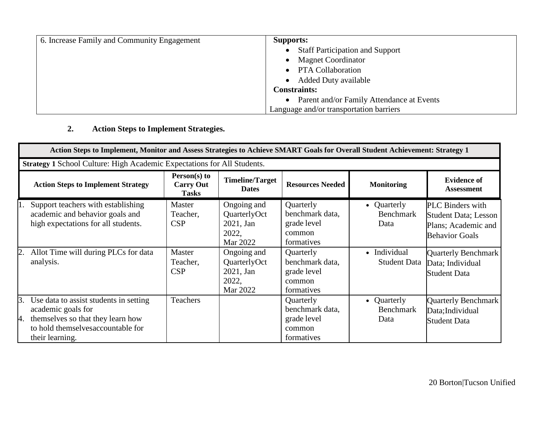| 6. Increase Family and Community Engagement | <b>Supports:</b>                          |
|---------------------------------------------|-------------------------------------------|
|                                             | <b>Staff Participation and Support</b>    |
|                                             | <b>Magnet Coordinator</b>                 |
|                                             | PTA Collaboration                         |
|                                             | <b>Added Duty available</b>               |
|                                             | <b>Constraints:</b>                       |
|                                             | Parent and/or Family Attendance at Events |
|                                             | Language and/or transportation barriers   |

**2. Action Steps to Implement Strategies.**

|                     | Action Steps to Implement, Monitor and Assess Strategies to Achieve SMART Goals for Overall Student Achievement: Strategy 1                               |                                                  |                                                               |                                                                     |                                         |                                                                                                         |  |
|---------------------|-----------------------------------------------------------------------------------------------------------------------------------------------------------|--------------------------------------------------|---------------------------------------------------------------|---------------------------------------------------------------------|-----------------------------------------|---------------------------------------------------------------------------------------------------------|--|
|                     | Strategy 1 School Culture: High Academic Expectations for All Students.                                                                                   |                                                  |                                                               |                                                                     |                                         |                                                                                                         |  |
|                     | <b>Action Steps to Implement Strategy</b>                                                                                                                 | Person(s) to<br><b>Carry Out</b><br><b>Tasks</b> | <b>Timeline/Target</b><br><b>Dates</b>                        | <b>Resources Needed</b>                                             | <b>Monitoring</b>                       | <b>Evidence of</b><br>Assessment                                                                        |  |
|                     | Support teachers with establishing<br>academic and behavior goals and<br>high expectations for all students.                                              | Master<br>Teacher,<br><b>CSP</b>                 | Ongoing and<br>QuarterlyOct<br>2021, Jan<br>2022,<br>Mar 2022 | Quarterly<br>benchmark data,<br>grade level<br>common<br>formatives | • Quarterly<br><b>Benchmark</b><br>Data | <b>PLC</b> Binders with<br><b>Student Data</b> ; Lesson<br>Plans; Academic and<br><b>Behavior Goals</b> |  |
| 2.                  | Allot Time will during PLCs for data<br>analysis.                                                                                                         | Master<br>Teacher,<br><b>CSP</b>                 | Ongoing and<br>QuarterlyOct<br>2021, Jan<br>2022,<br>Mar 2022 | Quarterly<br>benchmark data,<br>grade level<br>common<br>formatives | • Individual<br><b>Student Data</b>     | <b>Quarterly Benchmark</b><br>Data; Individual<br><b>Student Data</b>                                   |  |
| <sup>3.</sup><br>И. | Use data to assist students in setting<br>academic goals for<br>themselves so that they learn how<br>to hold themselvesaccountable for<br>their learning. | Teachers                                         |                                                               | Quarterly<br>benchmark data,<br>grade level<br>common<br>formatives | • Quarterly<br><b>Benchmark</b><br>Data | <b>Quarterly Benchmark</b><br>Data; Individual<br><b>Student Data</b>                                   |  |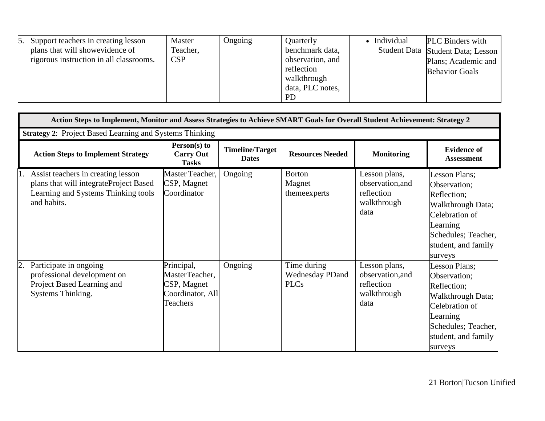|  | 5. Support teachers in creating lesson<br>plans that will showevidence of<br>rigorous instruction in all classrooms. | Master<br>Teacher,<br>CSP | Ongoing | Quarterly<br>benchmark data,<br>observation, and<br>reflection<br>walkthrough<br>data, PLC notes,<br><b>PD</b> | • Individual | <b>PLC</b> Binders with<br>Student Data Student Data; Lesson<br>Plans; Academic and<br><b>Behavior Goals</b> |
|--|----------------------------------------------------------------------------------------------------------------------|---------------------------|---------|----------------------------------------------------------------------------------------------------------------|--------------|--------------------------------------------------------------------------------------------------------------|
|--|----------------------------------------------------------------------------------------------------------------------|---------------------------|---------|----------------------------------------------------------------------------------------------------------------|--------------|--------------------------------------------------------------------------------------------------------------|

|    | Action Steps to Implement, Monitor and Assess Strategies to Achieve SMART Goals for Overall Student Achievement: Strategy 2        |                                                                                    |                                        |                                                      |                                                                        |                                                                                                                                                          |  |  |
|----|------------------------------------------------------------------------------------------------------------------------------------|------------------------------------------------------------------------------------|----------------------------------------|------------------------------------------------------|------------------------------------------------------------------------|----------------------------------------------------------------------------------------------------------------------------------------------------------|--|--|
|    | <b>Strategy 2: Project Based Learning and Systems Thinking</b>                                                                     |                                                                                    |                                        |                                                      |                                                                        |                                                                                                                                                          |  |  |
|    | <b>Action Steps to Implement Strategy</b>                                                                                          | Person(s) to<br><b>Carry Out</b><br><b>Tasks</b>                                   | <b>Timeline/Target</b><br><b>Dates</b> | <b>Resources Needed</b>                              | <b>Monitoring</b>                                                      | <b>Evidence of</b><br><b>Assessment</b>                                                                                                                  |  |  |
|    | Assist teachers in creating lesson<br>plans that will integrateProject Based<br>Learning and Systems Thinking tools<br>and habits. | Master Teacher,<br>CSP, Magnet<br>Coordinator                                      | Ongoing                                | <b>Borton</b><br>Magnet<br>themeexperts              | Lesson plans,<br>observation, and<br>reflection<br>walkthrough<br>data | Lesson Plans;<br>Observation;<br>Reflection;<br>Walkthrough Data;<br>Celebration of<br>Learning<br>Schedules; Teacher,<br>student, and family<br>surveys |  |  |
| 2. | Participate in ongoing<br>professional development on<br>Project Based Learning and<br>Systems Thinking.                           | Principal,<br>MasterTeacher,<br>CSP, Magnet<br>Coordinator, All<br><b>Teachers</b> | Ongoing                                | Time during<br><b>Wednesday PDand</b><br><b>PLCs</b> | Lesson plans,<br>observation, and<br>reflection<br>walkthrough<br>data | Lesson Plans;<br>Observation;<br>Reflection;<br>Walkthrough Data;<br>Celebration of<br>Learning<br>Schedules; Teacher,<br>student, and family<br>surveys |  |  |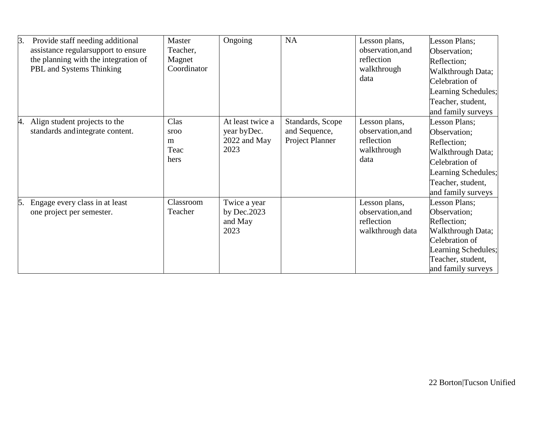| 3.<br>Provide staff needing additional | Master      | Ongoing          | NA               | Lesson plans,    | Lesson Plans;       |
|----------------------------------------|-------------|------------------|------------------|------------------|---------------------|
| assistance regularsupport to ensure    | Teacher,    |                  |                  | observation, and | Observation;        |
| the planning with the integration of   | Magnet      |                  |                  | reflection       | Reflection;         |
| PBL and Systems Thinking               | Coordinator |                  |                  | walkthrough      | Walkthrough Data;   |
|                                        |             |                  |                  | data             | Celebration of      |
|                                        |             |                  |                  |                  | Learning Schedules; |
|                                        |             |                  |                  |                  | Teacher, student,   |
|                                        |             |                  |                  |                  | and family surveys  |
| Align student projects to the<br>4.    | Clas        | At least twice a | Standards, Scope | Lesson plans,    | Lesson Plans;       |
| standards and integrate content.       | sroo        | year by Dec.     | and Sequence,    | observation, and | Observation;        |
|                                        | m           | 2022 and May     | Project Planner  | reflection       | Reflection;         |
|                                        | Teac        | 2023             |                  | walkthrough      | Walkthrough Data;   |
|                                        | hers        |                  |                  | data             | Celebration of      |
|                                        |             |                  |                  |                  | Learning Schedules; |
|                                        |             |                  |                  |                  | Teacher, student,   |
|                                        |             |                  |                  |                  | and family surveys  |
| Engage every class in at least<br>5.   | Classroom   | Twice a year     |                  | Lesson plans,    | Lesson Plans;       |
| one project per semester.              | Teacher     | by $Dec.2023$    |                  | observation, and | Observation;        |
|                                        |             | and May          |                  | reflection       | Reflection;         |
|                                        |             | 2023             |                  | walkthrough data | Walkthrough Data;   |
|                                        |             |                  |                  |                  | Celebration of      |
|                                        |             |                  |                  |                  | Learning Schedules; |
|                                        |             |                  |                  |                  | Teacher, student,   |
|                                        |             |                  |                  |                  | and family surveys  |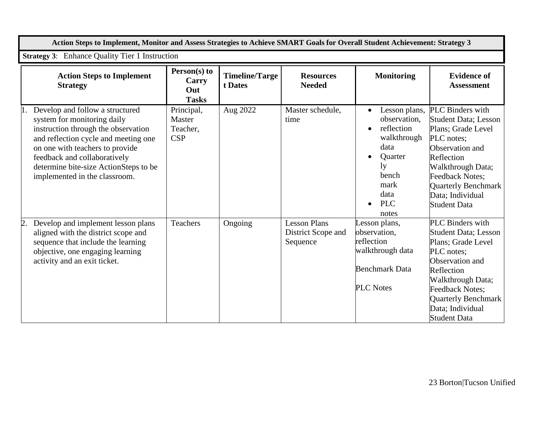|    | Action Steps to Implement, Monitor and Assess Strategies to Achieve SMART Goals for Overall Student Achievement: Strategy 3                                                                                                                                                                |                                                |                                  |                                                       |                                                                                                                                            |                                                                                                                                                                                                                                                     |  |  |
|----|--------------------------------------------------------------------------------------------------------------------------------------------------------------------------------------------------------------------------------------------------------------------------------------------|------------------------------------------------|----------------------------------|-------------------------------------------------------|--------------------------------------------------------------------------------------------------------------------------------------------|-----------------------------------------------------------------------------------------------------------------------------------------------------------------------------------------------------------------------------------------------------|--|--|
|    | <b>Strategy 3:</b> Enhance Quality Tier 1 Instruction                                                                                                                                                                                                                                      |                                                |                                  |                                                       |                                                                                                                                            |                                                                                                                                                                                                                                                     |  |  |
|    | <b>Action Steps to Implement</b><br><b>Strategy</b>                                                                                                                                                                                                                                        | Person(s) to<br>Carry<br>Out<br><b>Tasks</b>   | <b>Timeline/Targe</b><br>t Dates | <b>Resources</b><br><b>Needed</b>                     | <b>Monitoring</b>                                                                                                                          | <b>Evidence of</b><br><b>Assessment</b>                                                                                                                                                                                                             |  |  |
|    | Develop and follow a structured<br>system for monitoring daily<br>instruction through the observation<br>and reflection cycle and meeting one<br>on one with teachers to provide<br>feedback and collaboratively<br>determine bite-size ActionSteps to be<br>implemented in the classroom. | Principal,<br>Master<br>Teacher,<br><b>CSP</b> | Aug 2022                         | Master schedule,<br>time                              | Lesson plans,<br>observation,<br>reflection<br>walkthrough<br>data<br><b>Quarter</b><br>1y<br>bench<br>mark<br>data<br><b>PLC</b><br>notes | PLC Binders with<br><b>Student Data; Lesson</b><br>Plans; Grade Level<br>PLC notes;<br>Observation and<br>Reflection<br>Walkthrough Data;<br><b>Feedback Notes:</b><br>Quarterly Benchmark<br>Data; Individual<br><b>Student Data</b>               |  |  |
| 2. | Develop and implement lesson plans<br>aligned with the district scope and<br>sequence that include the learning<br>objective, one engaging learning<br>activity and an exit ticket.                                                                                                        | Teachers                                       | Ongoing                          | <b>Lesson Plans</b><br>District Scope and<br>Sequence | Lesson plans,<br>observation,<br>reflection<br>walkthrough data<br><b>Benchmark Data</b><br><b>PLC Notes</b>                               | <b>PLC</b> Binders with<br><b>Student Data; Lesson</b><br>Plans; Grade Level<br>PLC notes;<br>Observation and<br>Reflection<br>Walkthrough Data;<br><b>Feedback Notes:</b><br><b>Quarterly Benchmark</b><br>Data; Individual<br><b>Student Data</b> |  |  |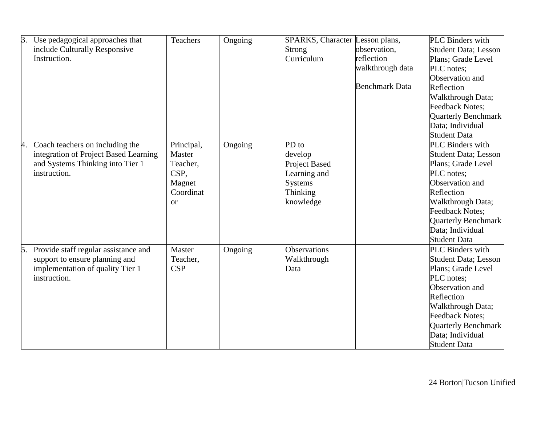| 3. | Use pedagogical approaches that       | <b>Teachers</b> | Ongoing | SPARKS, Character Lesson plans, |                       | PLC Binders with             |
|----|---------------------------------------|-----------------|---------|---------------------------------|-----------------------|------------------------------|
|    | include Culturally Responsive         |                 |         | <b>Strong</b>                   | observation,          | <b>Student Data</b> ; Lesson |
|    | Instruction.                          |                 |         | Curriculum                      | reflection            | Plans; Grade Level           |
|    |                                       |                 |         |                                 | walkthrough data      | PLC notes;                   |
|    |                                       |                 |         |                                 |                       | Observation and              |
|    |                                       |                 |         |                                 | <b>Benchmark Data</b> | Reflection                   |
|    |                                       |                 |         |                                 |                       | Walkthrough Data;            |
|    |                                       |                 |         |                                 |                       | <b>Feedback Notes:</b>       |
|    |                                       |                 |         |                                 |                       | <b>Quarterly Benchmark</b>   |
|    |                                       |                 |         |                                 |                       | Data; Individual             |
|    |                                       |                 |         |                                 |                       | <b>Student Data</b>          |
| 4. | Coach teachers on including the       | Principal,      | Ongoing | PD to                           |                       | PLC Binders with             |
|    | integration of Project Based Learning | Master          |         | develop                         |                       | <b>Student Data</b> ; Lesson |
|    | and Systems Thinking into Tier 1      | Teacher,        |         | Project Based                   |                       | Plans; Grade Level           |
|    | instruction.                          | CSP,            |         | Learning and                    |                       | PLC notes;                   |
|    |                                       | Magnet          |         | Systems                         |                       | Observation and              |
|    |                                       | Coordinat       |         | Thinking                        |                       | Reflection                   |
|    |                                       | <b>or</b>       |         | knowledge                       |                       | Walkthrough Data;            |
|    |                                       |                 |         |                                 |                       | <b>Feedback Notes:</b>       |
|    |                                       |                 |         |                                 |                       | <b>Quarterly Benchmark</b>   |
|    |                                       |                 |         |                                 |                       | Data; Individual             |
|    |                                       |                 |         |                                 |                       | <b>Student Data</b>          |
| 5. | Provide staff regular assistance and  | Master          | Ongoing | <b>Observations</b>             |                       | <b>PLC</b> Binders with      |
|    | support to ensure planning and        | Teacher,        |         | Walkthrough                     |                       | <b>Student Data</b> ; Lesson |
|    | implementation of quality Tier 1      | <b>CSP</b>      |         | Data                            |                       | Plans; Grade Level           |
|    | instruction.                          |                 |         |                                 |                       | PLC notes;                   |
|    |                                       |                 |         |                                 |                       | Observation and              |
|    |                                       |                 |         |                                 |                       | Reflection                   |
|    |                                       |                 |         |                                 |                       | Walkthrough Data;            |
|    |                                       |                 |         |                                 |                       | <b>Feedback Notes:</b>       |
|    |                                       |                 |         |                                 |                       | <b>Quarterly Benchmark</b>   |
|    |                                       |                 |         |                                 |                       | Data; Individual             |
|    |                                       |                 |         |                                 |                       | <b>Student Data</b>          |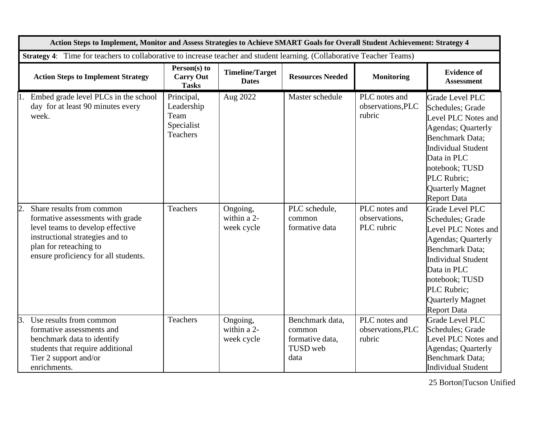|    |                                                                                                                                                                                                        | Action Steps to Implement, Monitor and Assess Strategies to Achieve SMART Goals for Overall Student Achievement: Strategy 4 |                                        |                                                                  |                                              |                                                                                                                                                                                                                                                         |  |
|----|--------------------------------------------------------------------------------------------------------------------------------------------------------------------------------------------------------|-----------------------------------------------------------------------------------------------------------------------------|----------------------------------------|------------------------------------------------------------------|----------------------------------------------|---------------------------------------------------------------------------------------------------------------------------------------------------------------------------------------------------------------------------------------------------------|--|
|    | Strategy 4: Time for teachers to collaborative to increase teacher and student learning. (Collaborative Teacher Teams)                                                                                 |                                                                                                                             |                                        |                                                                  |                                              |                                                                                                                                                                                                                                                         |  |
|    | <b>Action Steps to Implement Strategy</b>                                                                                                                                                              | Person(s) to<br><b>Carry Out</b><br><b>Tasks</b>                                                                            | <b>Timeline/Target</b><br><b>Dates</b> | <b>Resources Needed</b>                                          | <b>Monitoring</b>                            | <b>Evidence of</b><br><b>Assessment</b>                                                                                                                                                                                                                 |  |
|    | Embed grade level PLCs in the school<br>day for at least 90 minutes every<br>week.                                                                                                                     | Principal,<br>Leadership<br>Team<br>Specialist<br><b>Teachers</b>                                                           | Aug 2022                               | Master schedule                                                  | PLC notes and<br>observations, PLC<br>rubric | <b>Grade Level PLC</b><br>Schedules; Grade<br>Level PLC Notes and<br><b>Agendas</b> ; Quarterly<br><b>Benchmark Data;</b><br><b>Individual Student</b><br>Data in PLC<br>notebook; TUSD<br>PLC Rubric;<br>Quarterly Magnet<br><b>Report Data</b>        |  |
|    | Share results from common<br>formative assessments with grade<br>level teams to develop effective<br>instructional strategies and to<br>plan for reteaching to<br>ensure proficiency for all students. | Teachers                                                                                                                    | Ongoing,<br>within a 2-<br>week cycle  | PLC schedule,<br>common<br>formative data                        | PLC notes and<br>observations,<br>PLC rubric | <b>Grade Level PLC</b><br>Schedules; Grade<br>Level PLC Notes and<br><b>Agendas</b> ; Quarterly<br><b>Benchmark Data;</b><br><b>Individual Student</b><br>Data in PLC<br>notebook; TUSD<br>PLC Rubric;<br><b>Quarterly Magnet</b><br><b>Report Data</b> |  |
| 3. | Use results from common<br>formative assessments and<br>benchmark data to identify<br>students that require additional<br>Tier 2 support and/or<br>enrichments.                                        | <b>Teachers</b>                                                                                                             | Ongoing,<br>within a 2-<br>week cycle  | Benchmark data,<br>common<br>formative data,<br>TUSD web<br>data | PLC notes and<br>observations, PLC<br>rubric | <b>Grade Level PLC</b><br>Schedules; Grade<br>Level PLC Notes and<br><b>Agendas</b> ; Quarterly<br><b>Benchmark Data:</b><br><b>Individual Student</b>                                                                                                  |  |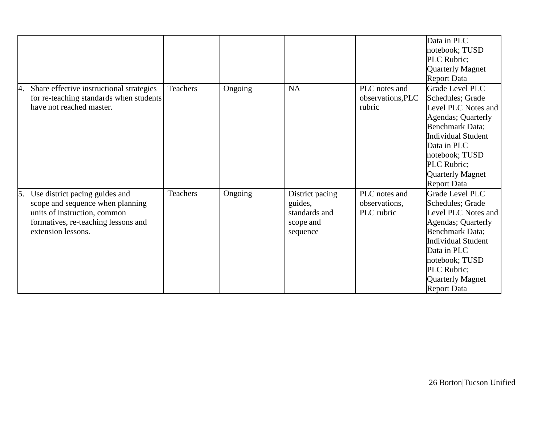|                                                                                                                                                                       |          |         |                                                                      |                                              | Data in PLC<br>notebook; TUSD<br>PLC Rubric;<br><b>Quarterly Magnet</b><br><b>Report Data</b>                                                                                                                                                           |
|-----------------------------------------------------------------------------------------------------------------------------------------------------------------------|----------|---------|----------------------------------------------------------------------|----------------------------------------------|---------------------------------------------------------------------------------------------------------------------------------------------------------------------------------------------------------------------------------------------------------|
| Share effective instructional strategies<br>4.<br>for re-teaching standards when students<br>have not reached master.                                                 | Teachers | Ongoing | <b>NA</b>                                                            | PLC notes and<br>observations, PLC<br>rubric | <b>Grade Level PLC</b><br>Schedules; Grade<br>Level PLC Notes and<br><b>Agendas</b> ; Quarterly<br><b>Benchmark Data;</b><br><b>Individual Student</b><br>Data in PLC<br>notebook; TUSD<br>PLC Rubric;<br><b>Quarterly Magnet</b><br><b>Report Data</b> |
| Use district pacing guides and<br>5.<br>scope and sequence when planning<br>units of instruction, common<br>formatives, re-teaching lessons and<br>extension lessons. | Teachers | Ongoing | District pacing<br>guides,<br>standards and<br>scope and<br>sequence | PLC notes and<br>observations,<br>PLC rubric | <b>Grade Level PLC</b><br>Schedules; Grade<br>Level PLC Notes and<br><b>Agendas</b> ; Quarterly<br>Benchmark Data;<br><b>Individual Student</b><br>Data in PLC<br>notebook; TUSD<br>PLC Rubric;<br><b>Quarterly Magnet</b><br><b>Report Data</b>        |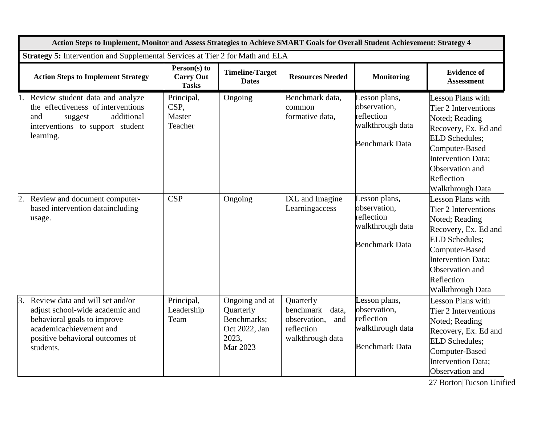|    | Action Steps to Implement, Monitor and Assess Strategies to Achieve SMART Goals for Overall Student Achievement: Strategy 4                                                  |                                                  |                                                                                  |                                                                                       |                                                                                          |                                                                                                                                                                                                                  |  |
|----|------------------------------------------------------------------------------------------------------------------------------------------------------------------------------|--------------------------------------------------|----------------------------------------------------------------------------------|---------------------------------------------------------------------------------------|------------------------------------------------------------------------------------------|------------------------------------------------------------------------------------------------------------------------------------------------------------------------------------------------------------------|--|
|    | Strategy 5: Intervention and Supplemental Services at Tier 2 for Math and ELA                                                                                                |                                                  |                                                                                  |                                                                                       |                                                                                          |                                                                                                                                                                                                                  |  |
|    | <b>Action Steps to Implement Strategy</b>                                                                                                                                    | Person(s) to<br><b>Carry Out</b><br><b>Tasks</b> | <b>Timeline/Target</b><br><b>Dates</b>                                           | <b>Resources Needed</b>                                                               | <b>Monitoring</b>                                                                        | <b>Evidence of</b><br><b>Assessment</b>                                                                                                                                                                          |  |
|    | Review student data and analyze<br>the effectiveness of interventions<br>additional<br>and<br>suggest<br>interventions to support student<br>learning.                       | Principal,<br>CSP,<br>Master<br>Teacher          | Ongoing                                                                          | Benchmark data,<br>common<br>formative data,                                          | Lesson plans,<br>observation,<br>reflection<br>walkthrough data<br><b>Benchmark Data</b> | <b>Lesson Plans with</b><br>Tier 2 Interventions<br>Noted; Reading<br>Recovery, Ex. Ed and<br><b>ELD Schedules;</b><br>Computer-Based<br>Intervention Data;<br>Observation and<br>Reflection<br>Walkthrough Data |  |
|    | 2. Review and document computer-<br>based intervention dataincluding<br>usage.                                                                                               | <b>CSP</b>                                       | Ongoing                                                                          | IXL and Imagine<br>Learningaccess                                                     | Lesson plans,<br>observation,<br>reflection<br>walkthrough data<br><b>Benchmark Data</b> | Lesson Plans with<br>Tier 2 Interventions<br>Noted; Reading<br>Recovery, Ex. Ed and<br><b>ELD Schedules;</b><br>Computer-Based<br><b>Intervention Data;</b><br>Observation and<br>Reflection<br>Walkthrough Data |  |
| 3. | Review data and will set and/or<br>adjust school-wide academic and<br>behavioral goals to improve<br>academicachievement and<br>positive behavioral outcomes of<br>students. | Principal,<br>Leadership<br>Team                 | Ongoing and at<br>Quarterly<br>Benchmarks;<br>Oct 2022, Jan<br>2023,<br>Mar 2023 | Quarterly<br>benchmark data,<br>observation,<br>and<br>reflection<br>walkthrough data | Lesson plans,<br>observation,<br>reflection<br>walkthrough data<br><b>Benchmark Data</b> | Lesson Plans with<br>Tier 2 Interventions<br>Noted; Reading<br>Recovery, Ex. Ed and<br><b>ELD Schedules:</b><br>Computer-Based<br><b>Intervention Data;</b><br>Observation and                                   |  |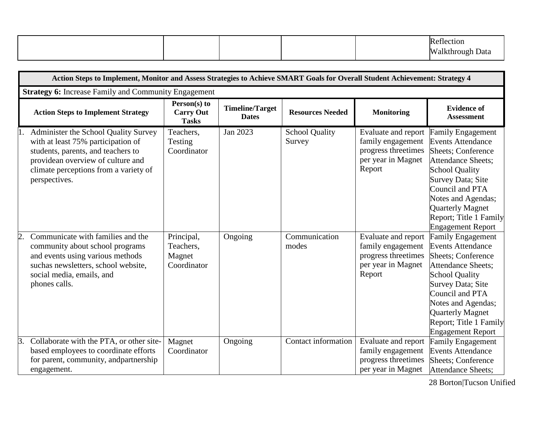|  |  | $\sim$<br>ection    |
|--|--|---------------------|
|  |  | Walkthrough<br>Data |

|                | Action Steps to Implement, Monitor and Assess Strategies to Achieve SMART Goals for Overall Student Achievement: Strategy 4                                                                                                                                                                                                 |                                                                          |                                        |                                                           |                                                                                                                                                                    |                                                                                                                                                                                                                                                                                                                                                                               |  |
|----------------|-----------------------------------------------------------------------------------------------------------------------------------------------------------------------------------------------------------------------------------------------------------------------------------------------------------------------------|--------------------------------------------------------------------------|----------------------------------------|-----------------------------------------------------------|--------------------------------------------------------------------------------------------------------------------------------------------------------------------|-------------------------------------------------------------------------------------------------------------------------------------------------------------------------------------------------------------------------------------------------------------------------------------------------------------------------------------------------------------------------------|--|
|                | <b>Strategy 6:</b> Increase Family and Community Engagement                                                                                                                                                                                                                                                                 |                                                                          |                                        |                                                           |                                                                                                                                                                    |                                                                                                                                                                                                                                                                                                                                                                               |  |
|                | <b>Action Steps to Implement Strategy</b>                                                                                                                                                                                                                                                                                   | Person(s) to<br><b>Carry Out</b><br><b>Tasks</b>                         | <b>Timeline/Target</b><br><b>Dates</b> | <b>Resources Needed</b>                                   | <b>Monitoring</b>                                                                                                                                                  | <b>Evidence of</b><br><b>Assessment</b>                                                                                                                                                                                                                                                                                                                                       |  |
|                | Administer the School Quality Survey<br>with at least 75% participation of<br>students, parents, and teachers to<br>providean overview of culture and<br>climate perceptions from a variety of<br>perspectives.<br>Communicate with families and the<br>community about school programs<br>and events using various methods | Teachers,<br>Testing<br>Coordinator<br>Principal,<br>Teachers,<br>Magnet | Jan 2023<br>Ongoing                    | <b>School Quality</b><br>Survey<br>Communication<br>modes | Evaluate and report<br>family engagement<br>progress threetimes<br>per year in Magnet<br>Report<br>Evaluate and report<br>family engagement<br>progress threetimes | <b>Family Engagement</b><br><b>Events Attendance</b><br><b>Sheets</b> ; Conference<br><b>Attendance Sheets;</b><br><b>School Quality</b><br>Survey Data; Site<br>Council and PTA<br>Notes and Agendas;<br><b>Quarterly Magnet</b><br>Report; Title 1 Family<br><b>Engagement Report</b><br><b>Family Engagement</b><br><b>Events Attendance</b><br><b>Sheets</b> ; Conference |  |
| $\mathbf{3}$ . | suchas newsletters, school website,<br>social media, emails, and<br>phones calls.<br>Collaborate with the PTA, or other site-                                                                                                                                                                                               | Coordinator<br>Magnet                                                    | Ongoing                                | Contact information                                       | per year in Magnet<br>Report<br>Evaluate and report                                                                                                                | <b>Attendance Sheets:</b><br><b>School Quality</b><br>Survey Data; Site<br>Council and PTA<br>Notes and Agendas;<br><b>Quarterly Magnet</b><br>Report; Title 1 Family<br><b>Engagement Report</b><br><b>Family Engagement</b>                                                                                                                                                 |  |
|                | based employees to coordinate efforts<br>for parent, community, and partnership<br>engagement.                                                                                                                                                                                                                              | Coordinator                                                              |                                        |                                                           | family engagement<br>progress threetimes<br>per year in Magnet                                                                                                     | <b>Events Attendance</b><br><b>Sheets</b> ; Conference<br><b>Attendance Sheets;</b>                                                                                                                                                                                                                                                                                           |  |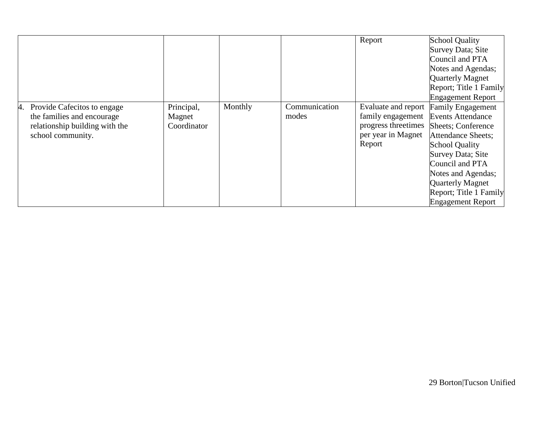|    |                                |             |         |               | Report               | <b>School Quality</b>      |
|----|--------------------------------|-------------|---------|---------------|----------------------|----------------------------|
|    |                                |             |         |               |                      | Survey Data; Site          |
|    |                                |             |         |               |                      | Council and PTA            |
|    |                                |             |         |               |                      | Notes and Agendas;         |
|    |                                |             |         |               |                      | Quarterly Magnet           |
|    |                                |             |         |               |                      | Report; Title 1 Family     |
|    |                                |             |         |               |                      | <b>Engagement Report</b>   |
| 4. | Provide Cafecitos to engage    | Principal,  | Monthly | Communication | Evaluate and report  | <b>Family Engagement</b>   |
|    | the families and encourage     | Magnet      |         | modes         | family engagement    | <b>Events Attendance</b>   |
|    | relationship building with the | Coordinator |         |               | progress three times | <b>Sheets</b> ; Conference |
|    | school community.              |             |         |               | per year in Magnet   | Attendance Sheets:         |
|    |                                |             |         |               | Report               | <b>School Quality</b>      |
|    |                                |             |         |               |                      | <b>Survey Data; Site</b>   |
|    |                                |             |         |               |                      | Council and PTA            |
|    |                                |             |         |               |                      | Notes and Agendas;         |
|    |                                |             |         |               |                      | Quarterly Magnet           |
|    |                                |             |         |               |                      | Report; Title 1 Family     |
|    |                                |             |         |               |                      | <b>Engagement Report</b>   |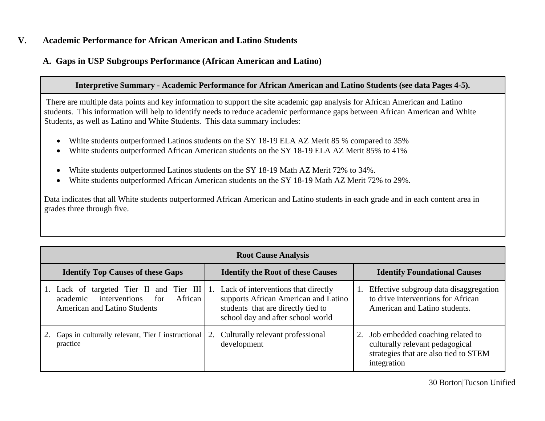## **V. Academic Performance for African American and Latino Students**

# **A. Gaps in USP Subgroups Performance (African American and Latino)**

### **Interpretive Summary - Academic Performance for African American and Latino Students (see data Pages 4-5).**

There are multiple data points and key information to support the site academic gap analysis for African American and Latino students. This information will help to identify needs to reduce academic performance gaps between African American and White Students, as well as Latino and White Students. This data summary includes:

- White students outperformed Latinos students on the SY 18-19 ELA AZ Merit 85 % compared to 35%
- White students outperformed African American students on the SY 18-19 ELA AZ Merit 85% to 41%
- White students outperformed Latinos students on the SY 18-19 Math AZ Merit 72% to 34%.
- White students outperformed African American students on the SY 18-19 Math AZ Merit 72% to 29%.

Data indicates that all White students outperformed African American and Latino students in each grade and in each content area in grades three through five.

| <b>Root Cause Analysis</b>                                                                                                                                         |                                                                                                                 |                                                                                                                                |  |  |  |  |
|--------------------------------------------------------------------------------------------------------------------------------------------------------------------|-----------------------------------------------------------------------------------------------------------------|--------------------------------------------------------------------------------------------------------------------------------|--|--|--|--|
| <b>Identify Top Causes of these Gaps</b>                                                                                                                           | <b>Identify the Root of these Causes</b>                                                                        | <b>Identify Foundational Causes</b>                                                                                            |  |  |  |  |
| 1. Lack of targeted Tier II and Tier III 1. Lack of interventions that directly<br>academic interventions<br>African<br>for<br><b>American and Latino Students</b> | supports African American and Latino<br>students that are directly tied to<br>school day and after school world | Effective subgroup data disaggregation<br>1.<br>to drive interventions for African<br>American and Latino students.            |  |  |  |  |
| Gaps in culturally relevant, Tier I instructional<br>practice                                                                                                      | 2. Culturally relevant professional<br>development                                                              | 2. Job embedded coaching related to<br>culturally relevant pedagogical<br>strategies that are also tied to STEM<br>integration |  |  |  |  |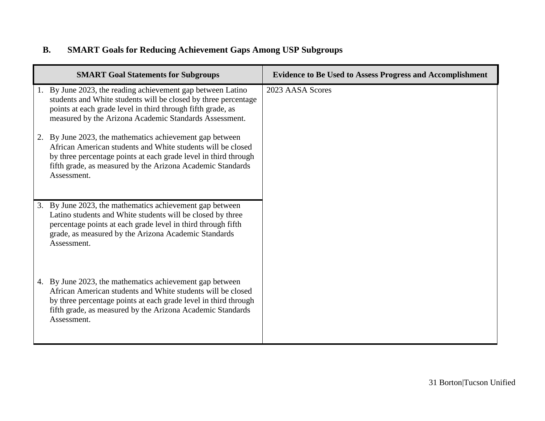# **B. SMART Goals for Reducing Achievement Gaps Among USP Subgroups**

| <b>SMART Goal Statements for Subgroups</b>                                                                                                                                                                                                                              | <b>Evidence to Be Used to Assess Progress and Accomplishment</b> |
|-------------------------------------------------------------------------------------------------------------------------------------------------------------------------------------------------------------------------------------------------------------------------|------------------------------------------------------------------|
| 1. By June 2023, the reading achievement gap between Latino<br>students and White students will be closed by three percentage<br>points at each grade level in third through fifth grade, as<br>measured by the Arizona Academic Standards Assessment.                  | 2023 AASA Scores                                                 |
| 2. By June 2023, the mathematics achievement gap between<br>African American students and White students will be closed<br>by three percentage points at each grade level in third through<br>fifth grade, as measured by the Arizona Academic Standards<br>Assessment. |                                                                  |
| 3. By June 2023, the mathematics achievement gap between<br>Latino students and White students will be closed by three<br>percentage points at each grade level in third through fifth<br>grade, as measured by the Arizona Academic Standards<br>Assessment.           |                                                                  |
| 4. By June 2023, the mathematics achievement gap between<br>African American students and White students will be closed<br>by three percentage points at each grade level in third through<br>fifth grade, as measured by the Arizona Academic Standards<br>Assessment. |                                                                  |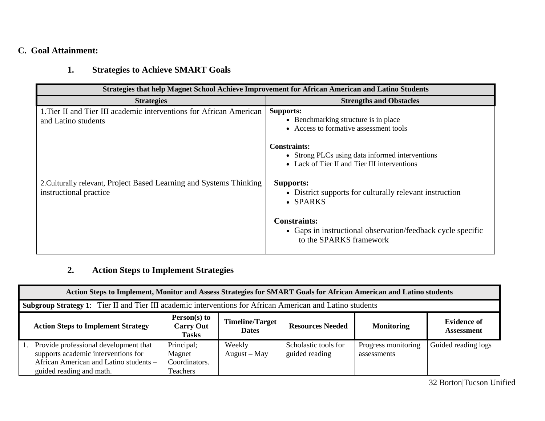# **C. Goal Attainment:**

# **1. Strategies to Achieve SMART Goals**

| <b>Strategies that help Magnet School Achieve Improvement for African American and Latino Students</b> |                                                                                                                        |  |  |  |  |  |  |
|--------------------------------------------------------------------------------------------------------|------------------------------------------------------------------------------------------------------------------------|--|--|--|--|--|--|
| <b>Strategies</b>                                                                                      | <b>Strengths and Obstacles</b>                                                                                         |  |  |  |  |  |  |
| 1. Tier II and Tier III academic interventions for African American<br>and Latino students             | <b>Supports:</b><br>• Benchmarking structure is in place<br>• Access to formative assessment tools                     |  |  |  |  |  |  |
|                                                                                                        | <b>Constraints:</b><br>• Strong PLCs using data informed interventions<br>• Lack of Tier II and Tier III interventions |  |  |  |  |  |  |
| 2. Culturally relevant, Project Based Learning and Systems Thinking<br>instructional practice          | <b>Supports:</b><br>• District supports for culturally relevant instruction<br>• SPARKS                                |  |  |  |  |  |  |
|                                                                                                        | <b>Constraints:</b><br>• Gaps in instructional observation/feedback cycle specific<br>to the SPARKS framework          |  |  |  |  |  |  |

# **2. Action Steps to Implement Strategies**

| Action Steps to Implement, Monitor and Assess Strategies for SMART Goals for African American and Latino students                                                                                                           |                                                   |                          |                                        |                                    |                     |  |  |
|-----------------------------------------------------------------------------------------------------------------------------------------------------------------------------------------------------------------------------|---------------------------------------------------|--------------------------|----------------------------------------|------------------------------------|---------------------|--|--|
| Subgroup Strategy 1: Tier II and Tier III academic interventions for African American and Latino students                                                                                                                   |                                                   |                          |                                        |                                    |                     |  |  |
| Person(s) to<br><b>Timeline/Target</b><br><b>Evidence of</b><br><b>Action Steps to Implement Strategy</b><br><b>Resources Needed</b><br><b>Monitoring</b><br><b>Carry Out</b><br><b>Dates</b><br>Assessment<br><b>Tasks</b> |                                                   |                          |                                        |                                    |                     |  |  |
| Provide professional development that<br>supports academic interventions for<br>African American and Latino students -<br>guided reading and math.                                                                          | Principal;<br>Magnet<br>Coordinators.<br>Teachers | Weekly<br>$August - May$ | Scholastic tools for<br>guided reading | Progress monitoring<br>assessments | Guided reading logs |  |  |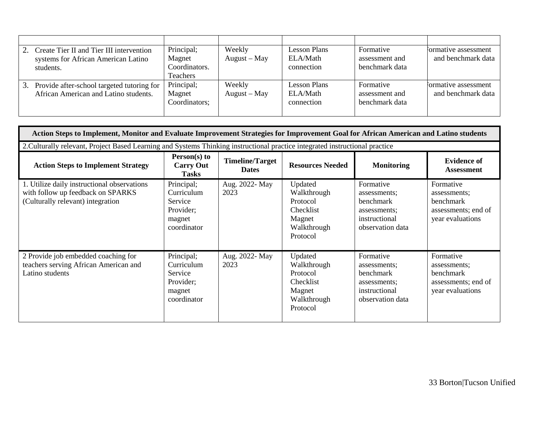|    | Create Tier II and Tier III intervention<br>systems for African American Latino<br>students. | Principal;<br>Magnet<br>Coordinators.<br><b>Teachers</b> | Weekly<br>$August - May$ | <b>Lesson Plans</b><br>ELA/Math<br>connection | Formative<br>assessment and<br>benchmark data | formative assessment<br>and benchmark data |
|----|----------------------------------------------------------------------------------------------|----------------------------------------------------------|--------------------------|-----------------------------------------------|-----------------------------------------------|--------------------------------------------|
| 3. | Provide after-school targeted tutoring for<br>African American and Latino students.          | Principal;<br>Magnet<br>Coordinators;                    | Weekly<br>$August - May$ | <b>Lesson Plans</b><br>ELA/Math<br>connection | Formative<br>assessment and<br>benchmark data | formative assessment<br>and benchmark data |

| Action Steps to Implement, Monitor and Evaluate Improvement Strategies for Improvement Goal for African American and Latino students |                                                                           |                                        |                                                                                      |                                                                                             |                                                                                   |  |  |
|--------------------------------------------------------------------------------------------------------------------------------------|---------------------------------------------------------------------------|----------------------------------------|--------------------------------------------------------------------------------------|---------------------------------------------------------------------------------------------|-----------------------------------------------------------------------------------|--|--|
| 2. Culturally relevant, Project Based Learning and Systems Thinking instructional practice integrated instructional practice         |                                                                           |                                        |                                                                                      |                                                                                             |                                                                                   |  |  |
| <b>Action Steps to Implement Strategy</b>                                                                                            | $Person(s)$ to<br><b>Carry Out</b><br><b>Tasks</b>                        | <b>Timeline/Target</b><br><b>Dates</b> | <b>Resources Needed</b>                                                              | <b>Monitoring</b>                                                                           | <b>Evidence of</b><br><b>Assessment</b>                                           |  |  |
| 1. Utilize daily instructional observations<br>with follow up feedback on SPARKS<br>(Culturally relevant) integration                | Principal;<br>Curriculum<br>Service<br>Provider;<br>magnet<br>coordinator | Aug. 2022- May<br>2023                 | Updated<br>Walkthrough<br>Protocol<br>Checklist<br>Magnet<br>Walkthrough<br>Protocol | Formative<br>assessments;<br>benchmark<br>assessments:<br>instructional<br>observation data | Formative<br>assessments;<br>benchmark<br>assessments; end of<br>year evaluations |  |  |
| 2 Provide job embedded coaching for<br>teachers serving African American and<br>Latino students                                      | Principal;<br>Curriculum<br>Service<br>Provider;<br>magnet<br>coordinator | Aug. 2022- May<br>2023                 | Updated<br>Walkthrough<br>Protocol<br>Checklist<br>Magnet<br>Walkthrough<br>Protocol | Formative<br>assessments;<br>benchmark<br>assessments;<br>instructional<br>observation data | Formative<br>assessments:<br>benchmark<br>assessments; end of<br>year evaluations |  |  |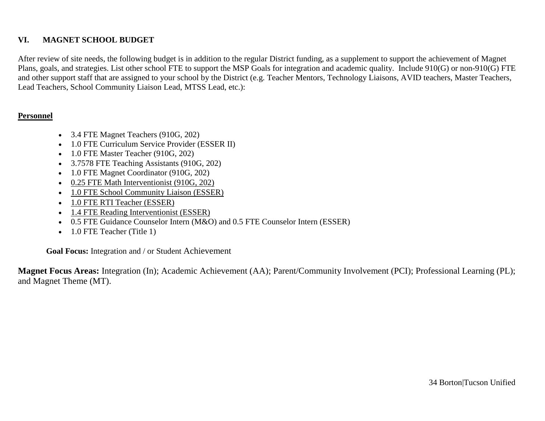## **VI. MAGNET SCHOOL BUDGET**

After review of site needs, the following budget is in addition to the regular District funding, as a supplement to support the achievement of Magnet Plans, goals, and strategies. List other school FTE to support the MSP Goals for integration and academic quality. Include 910(G) or non-910(G) FTE and other support staff that are assigned to your school by the District (e.g. Teacher Mentors, Technology Liaisons, AVID teachers, Master Teachers, Lead Teachers, School Community Liaison Lead, MTSS Lead, etc.):

#### **Personnel**

- 3.4 FTE Magnet Teachers (910G, 202)
- 1.0 FTE Curriculum Service Provider (ESSER II)
- 1.0 FTE Master Teacher (910G, 202)
- 3.7578 FTE Teaching Assistants (910G, 202)
- 1.0 FTE Magnet Coordinator (910G, 202)
- 0.25 FTE Math Interventionist (910G, 202)
- 1.0 FTE School Community Liaison (ESSER)
- 1.0 FTE RTI Teacher (ESSER)
- 1.4 FTE Reading Interventionist (ESSER)
- 0.5 FTE Guidance Counselor Intern (M&O) and 0.5 FTE Counselor Intern (ESSER)
- 1.0 FTE Teacher (Title 1)

**Goal Focus:** Integration and / or Student Achievement

**Magnet Focus Areas:** Integration (In); Academic Achievement (AA); Parent/Community Involvement (PCI); Professional Learning (PL); and Magnet Theme (MT).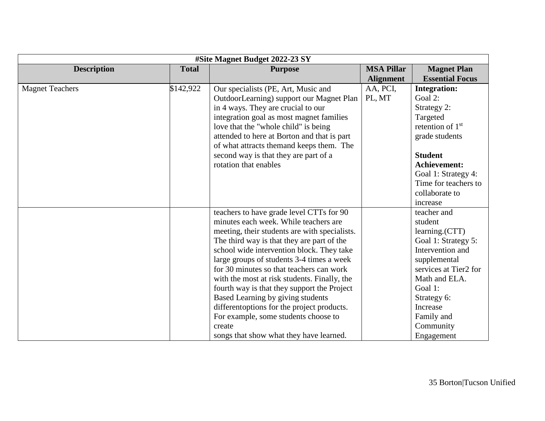| #Site Magnet Budget 2022-23 SY     |           |                                               |                   |                        |  |  |
|------------------------------------|-----------|-----------------------------------------------|-------------------|------------------------|--|--|
| <b>Description</b><br><b>Total</b> |           | <b>Purpose</b>                                | <b>MSA Pillar</b> | <b>Magnet Plan</b>     |  |  |
|                                    |           |                                               | <b>Alignment</b>  | <b>Essential Focus</b> |  |  |
| <b>Magnet Teachers</b>             | \$142,922 | Our specialists (PE, Art, Music and           | AA, PCI,          | <b>Integration:</b>    |  |  |
|                                    |           | OutdoorLearning) support our Magnet Plan      | PL, MT            | Goal 2:                |  |  |
|                                    |           | in 4 ways. They are crucial to our            |                   | Strategy 2:            |  |  |
|                                    |           | integration goal as most magnet families      |                   | Targeted               |  |  |
|                                    |           | love that the "whole child" is being          |                   | retention of $1st$     |  |  |
|                                    |           | attended to here at Borton and that is part   |                   | grade students         |  |  |
|                                    |           | of what attracts themand keeps them. The      |                   |                        |  |  |
|                                    |           | second way is that they are part of a         |                   | <b>Student</b>         |  |  |
|                                    |           | rotation that enables                         |                   | Achievement:           |  |  |
|                                    |           |                                               |                   | Goal 1: Strategy 4:    |  |  |
|                                    |           |                                               |                   | Time for teachers to   |  |  |
|                                    |           |                                               |                   | collaborate to         |  |  |
|                                    |           |                                               |                   | increase               |  |  |
|                                    |           | teachers to have grade level CTTs for 90      |                   | teacher and            |  |  |
|                                    |           | minutes each week. While teachers are         |                   | student                |  |  |
|                                    |           | meeting, their students are with specialists. |                   | learning.(CTT)         |  |  |
|                                    |           | The third way is that they are part of the    |                   | Goal 1: Strategy 5:    |  |  |
|                                    |           | school wide intervention block. They take     |                   | Intervention and       |  |  |
|                                    |           | large groups of students 3-4 times a week     |                   | supplemental           |  |  |
|                                    |           | for 30 minutes so that teachers can work      |                   | services at Tier2 for  |  |  |
|                                    |           | with the most at risk students. Finally, the  |                   | Math and ELA.          |  |  |
|                                    |           | fourth way is that they support the Project   |                   | Goal 1:                |  |  |
|                                    |           | Based Learning by giving students             |                   | Strategy 6:            |  |  |
|                                    |           | different options for the project products.   |                   | Increase               |  |  |
|                                    |           | For example, some students choose to          |                   | Family and             |  |  |
|                                    |           | create                                        |                   | Community              |  |  |
|                                    |           | songs that show what they have learned.       |                   | Engagement             |  |  |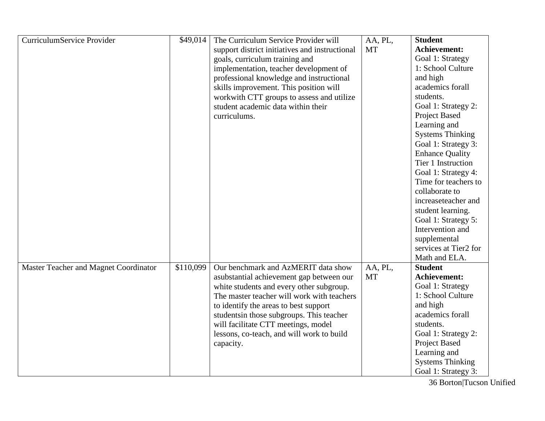| CurriculumService Provider            | \$49,014  | The Curriculum Service Provider will           | AA, PL,   | <b>Student</b>          |
|---------------------------------------|-----------|------------------------------------------------|-----------|-------------------------|
|                                       |           | support district initiatives and instructional | <b>MT</b> | Achievement:            |
|                                       |           | goals, curriculum training and                 |           | Goal 1: Strategy        |
|                                       |           | implementation, teacher development of         |           | 1: School Culture       |
|                                       |           | professional knowledge and instructional       |           | and high                |
|                                       |           | skills improvement. This position will         |           | academics forall        |
|                                       |           | workwith CTT groups to assess and utilize      |           | students.               |
|                                       |           | student academic data within their             |           | Goal 1: Strategy 2:     |
|                                       |           | curriculums.                                   |           | Project Based           |
|                                       |           |                                                |           | Learning and            |
|                                       |           |                                                |           | <b>Systems Thinking</b> |
|                                       |           |                                                |           | Goal 1: Strategy 3:     |
|                                       |           |                                                |           | <b>Enhance Quality</b>  |
|                                       |           |                                                |           | Tier 1 Instruction      |
|                                       |           |                                                |           | Goal 1: Strategy 4:     |
|                                       |           |                                                |           | Time for teachers to    |
|                                       |           |                                                |           | collaborate to          |
|                                       |           |                                                |           | increaseteacher and     |
|                                       |           |                                                |           | student learning.       |
|                                       |           |                                                |           | Goal 1: Strategy 5:     |
|                                       |           |                                                |           | Intervention and        |
|                                       |           |                                                |           | supplemental            |
|                                       |           |                                                |           | services at Tier2 for   |
|                                       |           |                                                |           | Math and ELA.           |
| Master Teacher and Magnet Coordinator | \$110,099 | Our benchmark and AzMERIT data show            | AA, PL,   | <b>Student</b>          |
|                                       |           | asubstantial achievement gap between our       | <b>MT</b> | Achievement:            |
|                                       |           | white students and every other subgroup.       |           | Goal 1: Strategy        |
|                                       |           | The master teacher will work with teachers     |           | 1: School Culture       |
|                                       |           | to identify the areas to best support          |           | and high                |
|                                       |           | students in those subgroups. This teacher      |           | academics forall        |
|                                       |           | will facilitate CTT meetings, model            |           | students.               |
|                                       |           | lessons, co-teach, and will work to build      |           | Goal 1: Strategy 2:     |
|                                       |           | capacity.                                      |           | Project Based           |
|                                       |           |                                                |           | Learning and            |
|                                       |           |                                                |           | <b>Systems Thinking</b> |
|                                       |           |                                                |           | Goal 1: Strategy 3:     |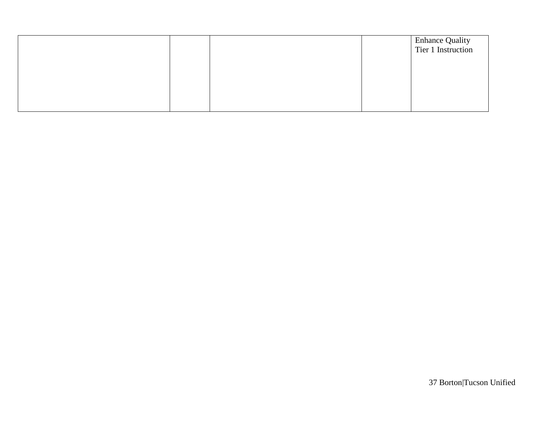|  |  | Enhance Quality<br>Tier 1 Instruction |
|--|--|---------------------------------------|
|  |  |                                       |
|  |  |                                       |
|  |  |                                       |
|  |  |                                       |
|  |  |                                       |
|  |  |                                       |
|  |  |                                       |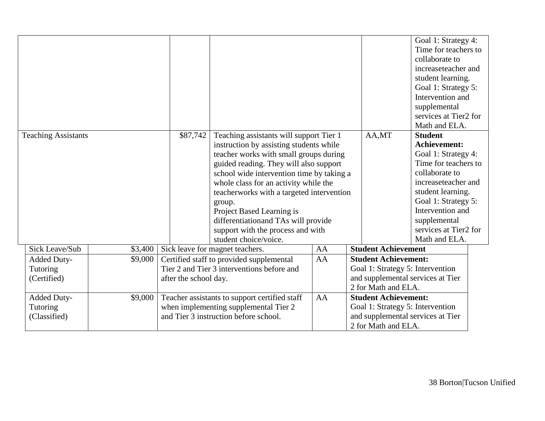|                            |         |                                               |                                                                                        |                                                                       |                                  |                             | Goal 1: Strategy 4:<br>Time for teachers to |  |
|----------------------------|---------|-----------------------------------------------|----------------------------------------------------------------------------------------|-----------------------------------------------------------------------|----------------------------------|-----------------------------|---------------------------------------------|--|
|                            |         |                                               |                                                                                        |                                                                       |                                  |                             | collaborate to                              |  |
|                            |         |                                               |                                                                                        |                                                                       |                                  |                             | increaseteacher and                         |  |
|                            |         |                                               |                                                                                        |                                                                       |                                  |                             | student learning.                           |  |
|                            |         |                                               |                                                                                        |                                                                       |                                  |                             | Goal 1: Strategy 5:                         |  |
|                            |         |                                               |                                                                                        |                                                                       |                                  |                             | Intervention and                            |  |
|                            |         |                                               |                                                                                        |                                                                       |                                  |                             | supplemental                                |  |
|                            |         |                                               |                                                                                        |                                                                       |                                  |                             | services at Tier2 for                       |  |
|                            |         |                                               |                                                                                        |                                                                       |                                  |                             | Math and ELA.<br><b>Student</b>             |  |
| <b>Teaching Assistants</b> |         | \$87,742                                      | Teaching assistants will support Tier 1                                                |                                                                       |                                  | AA,MT                       | <b>Achievement:</b>                         |  |
|                            |         |                                               | instruction by assisting students while                                                |                                                                       |                                  |                             |                                             |  |
|                            |         |                                               | teacher works with small groups during                                                 |                                                                       |                                  |                             | Goal 1: Strategy 4:<br>Time for teachers to |  |
|                            |         |                                               | guided reading. They will also support                                                 |                                                                       |                                  | collaborate to              |                                             |  |
|                            |         |                                               | school wide intervention time by taking a<br>whole class for an activity while the     |                                                                       |                                  | increaseteacher and         |                                             |  |
|                            |         |                                               | teacherworks with a targeted intervention                                              |                                                                       |                                  |                             | student learning.                           |  |
|                            |         |                                               |                                                                                        |                                                                       |                                  |                             | Goal 1: Strategy 5:                         |  |
|                            |         |                                               | group.<br>Project Based Learning is                                                    |                                                                       |                                  | Intervention and            |                                             |  |
|                            |         |                                               |                                                                                        |                                                                       |                                  |                             |                                             |  |
|                            |         |                                               | differentiationand TAs will provide                                                    |                                                                       |                                  |                             | supplemental<br>services at Tier2 for       |  |
|                            |         |                                               | support with the process and with<br>student choice/voice.                             |                                                                       |                                  |                             | Math and ELA.                               |  |
| Sick Leave/Sub             | \$3,400 |                                               | Sick leave for magnet teachers.                                                        | AA                                                                    |                                  | <b>Student Achievement</b>  |                                             |  |
|                            | \$9,000 |                                               |                                                                                        | AA                                                                    |                                  | <b>Student Achievement:</b> |                                             |  |
| Added Duty-<br>Tutoring    |         |                                               | Certified staff to provided supplemental<br>Tier 2 and Tier 3 interventions before and |                                                                       |                                  |                             |                                             |  |
| (Certified)                |         | after the school day.                         |                                                                                        | Goal 1: Strategy 5: Intervention<br>and supplemental services at Tier |                                  |                             |                                             |  |
|                            |         |                                               |                                                                                        |                                                                       |                                  |                             |                                             |  |
| Added Duty-                | \$9,000 | Teacher assistants to support certified staff | AA                                                                                     | 2 for Math and ELA.<br><b>Student Achievement:</b>                    |                                  |                             |                                             |  |
| <b>Tutoring</b>            |         |                                               |                                                                                        |                                                                       | Goal 1: Strategy 5: Intervention |                             |                                             |  |
| (Classified)               |         |                                               | when implementing supplemental Tier 2<br>and Tier 3 instruction before school.         |                                                                       |                                  |                             | and supplemental services at Tier           |  |
|                            |         |                                               |                                                                                        |                                                                       |                                  | 2 for Math and ELA.         |                                             |  |
|                            |         |                                               |                                                                                        |                                                                       |                                  |                             |                                             |  |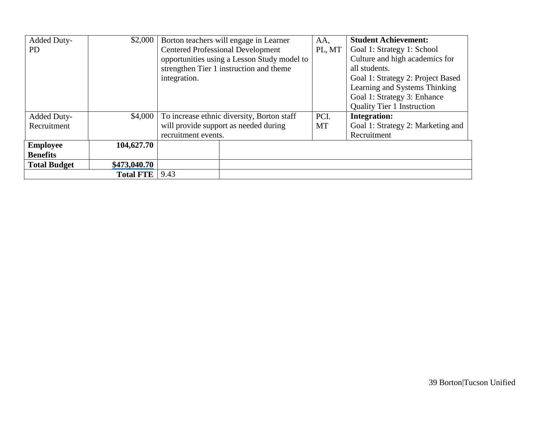| Added Duty-         | \$2,000          | Borton teachers will engage in Learner      | AA,       | <b>Student Achievement:</b>       |
|---------------------|------------------|---------------------------------------------|-----------|-----------------------------------|
| <b>PD</b>           |                  | <b>Centered Professional Development</b>    | PL, MT    | Goal 1: Strategy 1: School        |
|                     |                  | opportunities using a Lesson Study model to |           | Culture and high academics for    |
|                     |                  | strengthen Tier 1 instruction and theme     |           | all students.                     |
|                     |                  | integration.                                |           | Goal 1: Strategy 2: Project Based |
|                     |                  |                                             |           | Learning and Systems Thinking     |
|                     |                  |                                             |           | Goal 1: Strategy 3: Enhance       |
|                     |                  |                                             |           | <b>Quality Tier 1 Instruction</b> |
| Added Duty-         | \$4,000          | To increase ethnic diversity, Borton staff  | PCI.      | <b>Integration:</b>               |
| Recruitment         |                  | will provide support as needed during       | <b>MT</b> | Goal 1: Strategy 2: Marketing and |
|                     |                  | recruitment events.                         |           | Recruitment                       |
| <b>Employee</b>     | 104,627.70       |                                             |           |                                   |
| <b>Benefits</b>     |                  |                                             |           |                                   |
| <b>Total Budget</b> | \$473,040.70     |                                             |           |                                   |
|                     | <b>Total FTE</b> | 9.43                                        |           |                                   |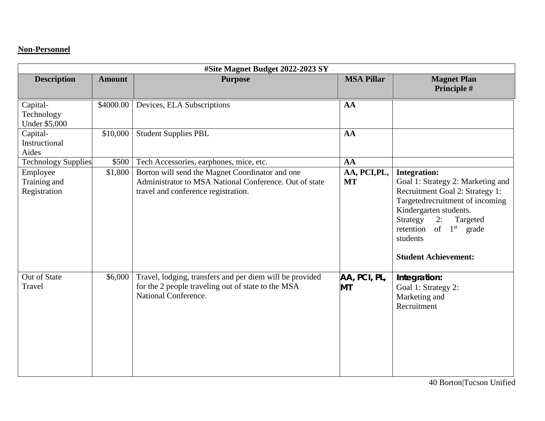## **Non-Personnel**

| #Site Magnet Budget 2022-2023 SY         |               |                                                                                                                                                  |                           |                                                                                                                                                                                                                                                                  |  |
|------------------------------------------|---------------|--------------------------------------------------------------------------------------------------------------------------------------------------|---------------------------|------------------------------------------------------------------------------------------------------------------------------------------------------------------------------------------------------------------------------------------------------------------|--|
| <b>Description</b>                       | <b>Amount</b> | <b>Purpose</b>                                                                                                                                   | <b>MSA Pillar</b>         | <b>Magnet Plan</b><br>Principle #                                                                                                                                                                                                                                |  |
| Capital-                                 | \$4000.00     | Devices, ELA Subscriptions                                                                                                                       | AA                        |                                                                                                                                                                                                                                                                  |  |
| Technology                               |               |                                                                                                                                                  |                           |                                                                                                                                                                                                                                                                  |  |
| <b>Under \$5,000</b>                     |               |                                                                                                                                                  |                           |                                                                                                                                                                                                                                                                  |  |
| Capital-<br>Instructional                | \$10,000      | <b>Student Supplies PBL</b>                                                                                                                      | AA                        |                                                                                                                                                                                                                                                                  |  |
| Aides                                    |               |                                                                                                                                                  |                           |                                                                                                                                                                                                                                                                  |  |
| <b>Technology Supplies</b>               | \$500         | Tech Accessories, earphones, mice, etc.                                                                                                          | AA                        |                                                                                                                                                                                                                                                                  |  |
| Employee<br>Training and<br>Registration | \$1,800       | Borton will send the Magnet Coordinator and one<br>Administrator to MSA National Conference. Out of state<br>travel and conference registration. | AA, PCI, PL,<br><b>MT</b> | <b>Integration:</b><br>Goal 1: Strategy 2: Marketing and<br>Recruitment Goal 2: Strategy 1:<br>Targetedrecruitment of incoming<br>Kindergarten students.<br>Strategy<br>2:<br>Targeted<br>of $1st$ grade<br>retention<br>students<br><b>Student Achievement:</b> |  |
| Out of State<br>Travel                   | \$6,000       | Travel, lodging, transfers and per diem will be provided<br>for the 2 people traveling out of state to the MSA<br>National Conference.           | AA, PCI, PL,<br><b>MT</b> | Integration:<br>Goal 1: Strategy 2:<br>Marketing and<br>Recruitment                                                                                                                                                                                              |  |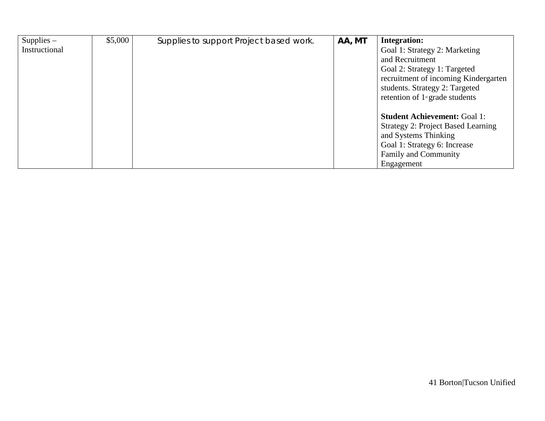| $Supplies -$  | \$5,000 | Supplies to support Project based work. | AA, MT | <b>Integration:</b>                           |
|---------------|---------|-----------------------------------------|--------|-----------------------------------------------|
| Instructional |         |                                         |        | Goal 1: Strategy 2: Marketing                 |
|               |         |                                         |        | and Recruitment                               |
|               |         |                                         |        | Goal 2: Strategy 1: Targeted                  |
|               |         |                                         |        | recruitment of incoming Kindergarten          |
|               |         |                                         |        | students. Strategy 2: Targeted                |
|               |         |                                         |        | retention of $1$ <sup>st</sup> grade students |
|               |         |                                         |        |                                               |
|               |         |                                         |        | <b>Student Achievement: Goal 1:</b>           |
|               |         |                                         |        | <b>Strategy 2: Project Based Learning</b>     |
|               |         |                                         |        | and Systems Thinking                          |
|               |         |                                         |        | Goal 1: Strategy 6: Increase                  |
|               |         |                                         |        | Family and Community                          |
|               |         |                                         |        | Engagement                                    |